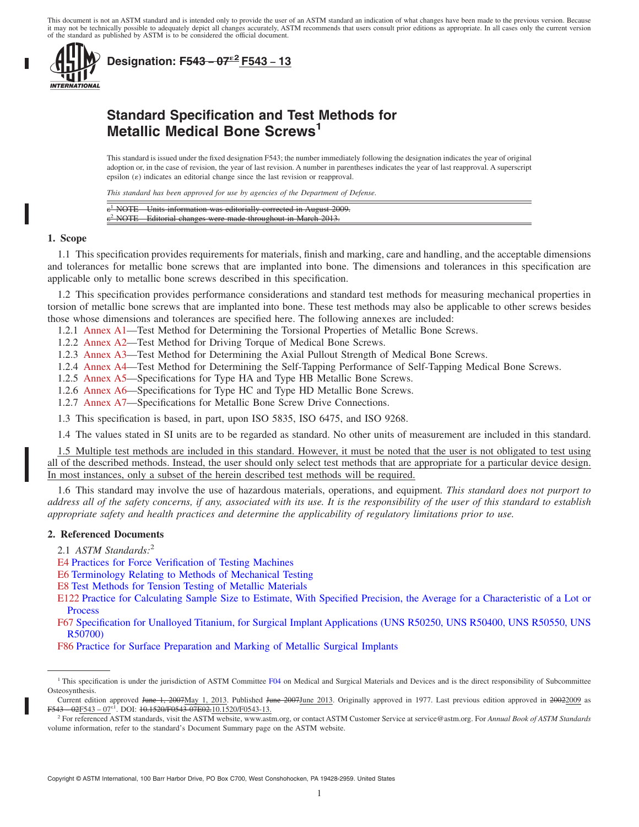This document is not an ASTM standard and is intended only to provide the user of an ASTM standard an indication of what changes have been made to the previous version. Because it may not be technically possible to adequately depict all changes accurately, ASTM recommends that users consult prior editions as appropriate. In all cases only the current version<br>of the standard as published by ASTM i



**Designation: F543 <sup>−</sup> 07**´**<sup>2</sup> F543 − 13**

# **Standard Specification and Test Methods for Metallic Medical Bone Screws<sup>1</sup>**

This standard is issued under the fixed designation F543; the number immediately following the designation indicates the year of original adoption or, in the case of revision, the year of last revision. A number in parentheses indicates the year of last reapproval. A superscript epsilon  $(\varepsilon)$  indicates an editorial change since the last revision or reapproval.

*This standard has been approved for use by agencies of the Department of Defense.*

| $\epsilon$ <sup>1</sup> NOTE—Units information was editorially corrected in August 2009. |  |
|------------------------------------------------------------------------------------------|--|
| $\epsilon^2$ NOTE—Editorial changes were made throughout in March 2013.                  |  |

#### **1. Scope**

1.1 This specification provides requirements for materials, finish and marking, care and handling, and the acceptable dimensions and tolerances for metallic bone screws that are implanted into bone. The dimensions and tolerances in this specification are applicable only to metallic bone screws described in this specification.

1.2 This specification provides performance considerations and standard test methods for measuring mechanical properties in torsion of metallic bone screws that are implanted into bone. These test methods may also be applicable to other screws besides those whose dimensions and tolerances are specified here. The following annexes are included:

1.2.1 Annex A1—Test Method for Determining the Torsional Properties of Metallic Bone Screws.

- 1.2.2 Annex A2—Test Method for Driving Torque of Medical Bone Screws.
- 1.2.3 Annex A3—Test Method for Determining the Axial Pullout Strength of Medical Bone Screws.
- 1.2.4 Annex A4—Test Method for Determining the Self-Tapping Performance of Self-Tapping Medical Bone Screws.
- 1.2.5 Annex A5—Specifications for Type HA and Type HB Metallic Bone Screws.
- 1.2.6 Annex A6—Specifications for Type HC and Type HD Metallic Bone Screws.
- 1.2.7 Annex A7—Specifications for Metallic Bone Screw Drive Connections.
- 1.3 This specification is based, in part, upon ISO 5835, ISO 6475, and ISO 9268.

1.4 The values stated in SI units are to be regarded as standard. No other units of measurement are included in this standard.

1.5 Multiple test methods are included in this standard. However, it must be noted that the user is not obligated to test using all of the described methods. Instead, the user should only select test methods that are appropriate for a particular device design. In most instances, only a subset of the herein described test methods will be required.

1.6 This standard may involve the use of hazardous materials, operations, and equipment*. This standard does not purport to address all of the safety concerns, if any, associated with its use. It is the responsibility of the user of this standard to establish appropriate safety and health practices and determine the applicability of regulatory limitations prior to use.*

## **2. Referenced Documents**

2.1 *ASTM Standards:*<sup>2</sup>

- E4 Practices for Force Verification of Testing Machines
- E6 Terminology Relating to Methods of Mechanical Testing
- E8 Test Methods for Tension Testing of Metallic Materials

E122 Practice for Calculating Sample Size to Estimate, With Specified Precision, the Average for a Characteristic of a Lot or Process

F67 Specification for Unalloyed Titanium, for Surgical Implant Applications (UNS R50250, UNS R50400, UNS R50550, UNS R50700)

F86 Practice for Surface Preparation and Marking of Metallic Surgical Implants

<sup>&</sup>lt;sup>1</sup> This specification is under the jurisdiction of ASTM Committee F04 on Medical and Surgical Materials and Devices and is the direct responsibility of Subcommittee Osteosynthesis.

Current edition approved June 1, 2007May 1, 2013. Published June 2007June 2013. Originally approved in 1977. Last previous edition approved in 20022009 as F543 – 02F543 – 07<sup>ε1</sup>. DOI: <del>10.1520/F0543-07E02.</del>10.1520/F0543-13.

<sup>2</sup> For referenced ASTM standards, visit the ASTM website, www.astm.org, or contact ASTM Customer Service at service@astm.org. For *Annual Book of ASTM Standards* volume information, refer to the standard's Document Summary page on the ASTM website.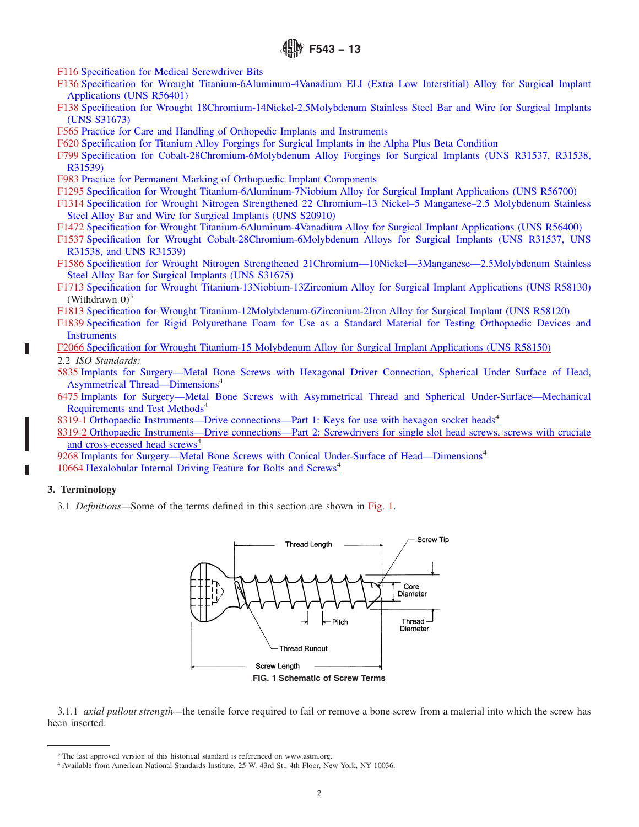- F116 Specification for Medical Screwdriver Bits
- F136 Specification for Wrought Titanium-6Aluminum-4Vanadium ELI (Extra Low Interstitial) Alloy for Surgical Implant Applications (UNS R56401)
- F138 Specification for Wrought 18Chromium-14Nickel-2.5Molybdenum Stainless Steel Bar and Wire for Surgical Implants (UNS S31673)
- F565 Practice for Care and Handling of Orthopedic Implants and Instruments
- F620 Specification for Titanium Alloy Forgings for Surgical Implants in the Alpha Plus Beta Condition
- F799 Specification for Cobalt-28Chromium-6Molybdenum Alloy Forgings for Surgical Implants (UNS R31537, R31538, R31539)
- F983 Practice for Permanent Marking of Orthopaedic Implant Components
- F1295 Specification for Wrought Titanium-6Aluminum-7Niobium Alloy for Surgical Implant Applications (UNS R56700)
- F1314 Specification for Wrought Nitrogen Strengthened 22 Chromium–13 Nickel–5 Manganese–2.5 Molybdenum Stainless Steel Alloy Bar and Wire for Surgical Implants (UNS S20910)
- F1472 Specification for Wrought Titanium-6Aluminum-4Vanadium Alloy for Surgical Implant Applications (UNS R56400)
- F1537 Specification for Wrought Cobalt-28Chromium-6Molybdenum Alloys for Surgical Implants (UNS R31537, UNS R31538, and UNS R31539)
- F1586 Specification for Wrought Nitrogen Strengthened 21Chromium—10Nickel—3Manganese—2.5Molybdenum Stainless Steel Alloy Bar for Surgical Implants (UNS S31675)
- F1713 Specification for Wrought Titanium-13Niobium-13Zirconium Alloy for Surgical Implant Applications (UNS R58130) (Withdrawn  $0$ )<sup>3</sup>
- F1813 Specification for Wrought Titanium-12Molybdenum-6Zirconium-2Iron Alloy for Surgical Implant (UNS R58120)
- F1839 Specification for Rigid Polyurethane Foam for Use as a Standard Material for Testing Orthopaedic Devices and **Instruments**
- F2066 Specification for Wrought Titanium-15 Molybdenum Alloy for Surgical Implant Applications (UNS R58150)
- 2.2 *ISO Standards:*
- 5835 Implants for Surgery—Metal Bone Screws with Hexagonal Driver Connection, Spherical Under Surface of Head, Asymmetrical Thread—Dimensions<sup>4</sup>
- 6475 Implants for Surgery—Metal Bone Screws with Asymmetrical Thread and Spherical Under-Surface—Mechanical Requirements and Test Methods<sup>4</sup>
- 8319-1 Orthopaedic Instruments—Drive connections—Part 1: Keys for use with hexagon socket heads<sup>4</sup>
- 8319-2 Orthopaedic Instruments—Drive connections—Part 2: Screwdrivers for single slot head screws, screws with cruciate and cross-ecessed head screws<sup>4</sup>

9268 Implants for Surgery—Metal Bone Screws with Conical Under-Surface of Head—Dimensions<sup>4</sup> 10664 Hexalobular Internal Driving Feature for Bolts and Screws<sup>4</sup>

## **3. Terminology**

3.1 *Definitions—*Some of the terms defined in this section are shown in Fig. 1.



3.1.1 *axial pullout strength—*the tensile force required to fail or remove a bone screw from a material into which the screw has been inserted.

<sup>&</sup>lt;sup>3</sup> The last approved version of this historical standard is referenced on www.astm.org.

<sup>&</sup>lt;sup>4</sup> Available from American National Standards Institute, 25 W. 43rd St., 4th Floor, New York, NY 10036.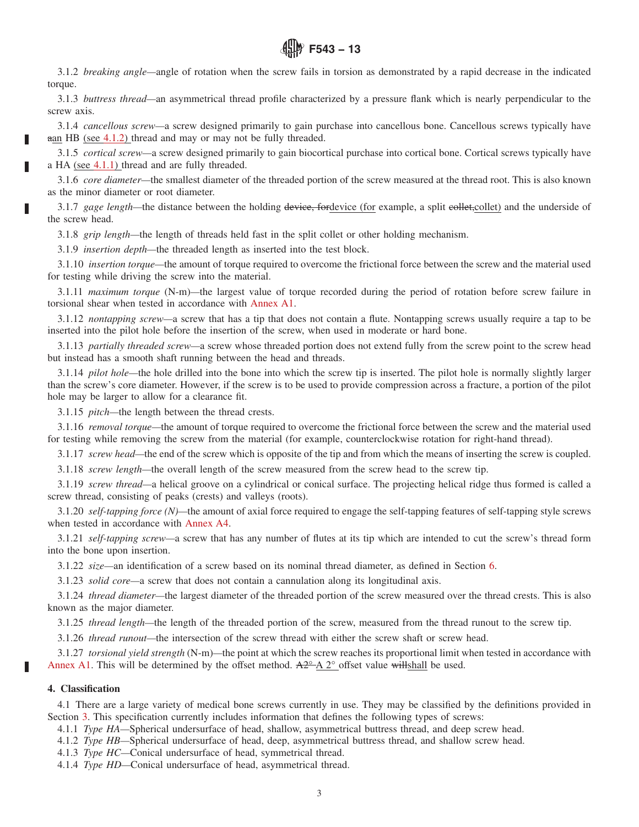

3.1.2 *breaking angle—*angle of rotation when the screw fails in torsion as demonstrated by a rapid decrease in the indicated torque.

3.1.3 *buttress thread—*an asymmetrical thread profile characterized by a pressure flank which is nearly perpendicular to the screw axis.

3.1.4 *cancellous screw—*a screw designed primarily to gain purchase into cancellous bone. Cancellous screws typically have aan HB (see 4.1.2) thread and may or may not be fully threaded.

3.1.5 *cortical screw—*a screw designed primarily to gain biocortical purchase into cortical bone. Cortical screws typically have a HA (see 4.1.1) thread and are fully threaded.

3.1.6 *core diameter—*the smallest diameter of the threaded portion of the screw measured at the thread root. This is also known as the minor diameter or root diameter.

3.1.7 gage length—the distance between the holding device, fordevice (for example, a split eollet,collet) and the underside of the screw head.

3.1.8 *grip length—*the length of threads held fast in the split collet or other holding mechanism.

3.1.9 *insertion depth—*the threaded length as inserted into the test block.

3.1.10 *insertion torque—*the amount of torque required to overcome the frictional force between the screw and the material used for testing while driving the screw into the material.

3.1.11 *maximum torque* (N-m)*—*the largest value of torque recorded during the period of rotation before screw failure in torsional shear when tested in accordance with Annex A1.

3.1.12 *nontapping screw—*a screw that has a tip that does not contain a flute. Nontapping screws usually require a tap to be inserted into the pilot hole before the insertion of the screw, when used in moderate or hard bone.

3.1.13 *partially threaded screw—*a screw whose threaded portion does not extend fully from the screw point to the screw head but instead has a smooth shaft running between the head and threads.

3.1.14 *pilot hole—*the hole drilled into the bone into which the screw tip is inserted. The pilot hole is normally slightly larger than the screw's core diameter. However, if the screw is to be used to provide compression across a fracture, a portion of the pilot hole may be larger to allow for a clearance fit.

3.1.15 *pitch—*the length between the thread crests.

3.1.16 *removal torque—*the amount of torque required to overcome the frictional force between the screw and the material used for testing while removing the screw from the material (for example, counterclockwise rotation for right-hand thread).

3.1.17 *screw head—*the end of the screw which is opposite of the tip and from which the means of inserting the screw is coupled.

3.1.18 *screw length—*the overall length of the screw measured from the screw head to the screw tip.

3.1.19 *screw thread—*a helical groove on a cylindrical or conical surface. The projecting helical ridge thus formed is called a screw thread, consisting of peaks (crests) and valleys (roots).

3.1.20 *self-tapping force (N)—*the amount of axial force required to engage the self-tapping features of self-tapping style screws when tested in accordance with Annex A4.

3.1.21 *self-tapping screw—*a screw that has any number of flutes at its tip which are intended to cut the screw's thread form into the bone upon insertion.

3.1.22 *size—*an identification of a screw based on its nominal thread diameter, as defined in Section 6.

3.1.23 *solid core—*a screw that does not contain a cannulation along its longitudinal axis.

3.1.24 *thread diameter—*the largest diameter of the threaded portion of the screw measured over the thread crests. This is also known as the major diameter.

3.1.25 *thread length—*the length of the threaded portion of the screw, measured from the thread runout to the screw tip.

3.1.26 *thread runout—*the intersection of the screw thread with either the screw shaft or screw head.

3.1.27 *torsional yield strength* (N-m)*—*the point at which the screw reaches its proportional limit when tested in accordance with Annex A1. This will be determined by the offset method.  $A2^{\circ}A2^{\circ}$  offset value willshall be used.

### **4. Classification**

4.1 There are a large variety of medical bone screws currently in use. They may be classified by the definitions provided in Section 3. This specification currently includes information that defines the following types of screws:

4.1.1 *Type HA—*Spherical undersurface of head, shallow, asymmetrical buttress thread, and deep screw head.

4.1.2 *Type HB—*Spherical undersurface of head, deep, asymmetrical buttress thread, and shallow screw head.

4.1.3 *Type HC—*Conical undersurface of head, symmetrical thread.

4.1.4 *Type HD—*Conical undersurface of head, asymmetrical thread.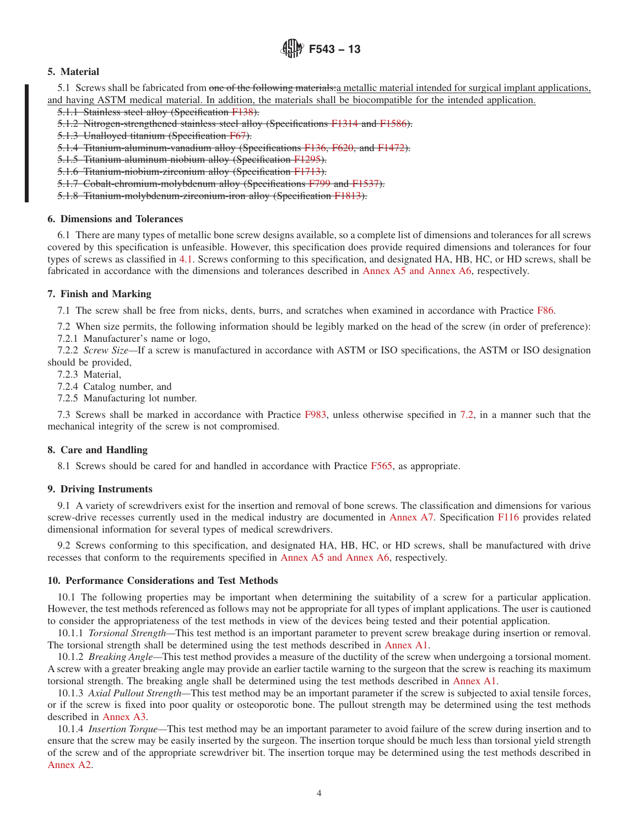## **5. Material**

5.1 Screws shall be fabricated from one of the following materials: a metallic material intended for surgical implant applications, and having ASTM medical material. In addition, the materials shall be biocompatible for the intended application.

5.1.1 Stainless steel alloy (Specification F138).

5.1.2 Nitrogen-strengthened stainless steel alloy (Specifications F1314 and F1586).

5.1.3 Unalloyed titanium (Specification F67).

5.1.4 Titanium-aluminum-vanadium alloy (Specifications F136, F620, and F1472).

5.1.5 Titanium-aluminum-niobium alloy (Specification F1295).

5.1.6 Titanium-niobium-zirconium alloy (Specification F1713).

5.1.7 Cobalt-chromium-molybdenum alloy (Specifications F799 and F1537).

5.1.8 Titanium-molybdenum-zirconium-iron alloy (Specification F1813).

### **6. Dimensions and Tolerances**

6.1 There are many types of metallic bone screw designs available, so a complete list of dimensions and tolerances for all screws covered by this specification is unfeasible. However, this specification does provide required dimensions and tolerances for four types of screws as classified in 4.1. Screws conforming to this specification, and designated HA, HB, HC, or HD screws, shall be fabricated in accordance with the dimensions and tolerances described in Annex A5 and Annex A6, respectively.

## **7. Finish and Marking**

7.1 The screw shall be free from nicks, dents, burrs, and scratches when examined in accordance with Practice F86.

7.2 When size permits, the following information should be legibly marked on the head of the screw (in order of preference): 7.2.1 Manufacturer's name or logo,

7.2.2 *Screw Size—*If a screw is manufactured in accordance with ASTM or ISO specifications, the ASTM or ISO designation should be provided,

7.2.3 Material,

7.2.4 Catalog number, and

7.2.5 Manufacturing lot number.

7.3 Screws shall be marked in accordance with Practice F983, unless otherwise specified in 7.2, in a manner such that the mechanical integrity of the screw is not compromised.

## **8. Care and Handling**

8.1 Screws should be cared for and handled in accordance with Practice F565, as appropriate.

## **9. Driving Instruments**

9.1 A variety of screwdrivers exist for the insertion and removal of bone screws. The classification and dimensions for various screw-drive recesses currently used in the medical industry are documented in Annex A7. Specification F116 provides related dimensional information for several types of medical screwdrivers.

9.2 Screws conforming to this specification, and designated HA, HB, HC, or HD screws, shall be manufactured with drive recesses that conform to the requirements specified in Annex A5 and Annex A6, respectively.

## **10. Performance Considerations and Test Methods**

10.1 The following properties may be important when determining the suitability of a screw for a particular application. However, the test methods referenced as follows may not be appropriate for all types of implant applications. The user is cautioned to consider the appropriateness of the test methods in view of the devices being tested and their potential application.

10.1.1 *Torsional Strength—*This test method is an important parameter to prevent screw breakage during insertion or removal. The torsional strength shall be determined using the test methods described in Annex A1.

10.1.2 *Breaking Angle—*This test method provides a measure of the ductility of the screw when undergoing a torsional moment. A screw with a greater breaking angle may provide an earlier tactile warning to the surgeon that the screw is reaching its maximum torsional strength. The breaking angle shall be determined using the test methods described in Annex A1.

10.1.3 *Axial Pullout Strength—*This test method may be an important parameter if the screw is subjected to axial tensile forces, or if the screw is fixed into poor quality or osteoporotic bone. The pullout strength may be determined using the test methods described in Annex A3.

10.1.4 *Insertion Torque—*This test method may be an important parameter to avoid failure of the screw during insertion and to ensure that the screw may be easily inserted by the surgeon. The insertion torque should be much less than torsional yield strength of the screw and of the appropriate screwdriver bit. The insertion torque may be determined using the test methods described in Annex A2.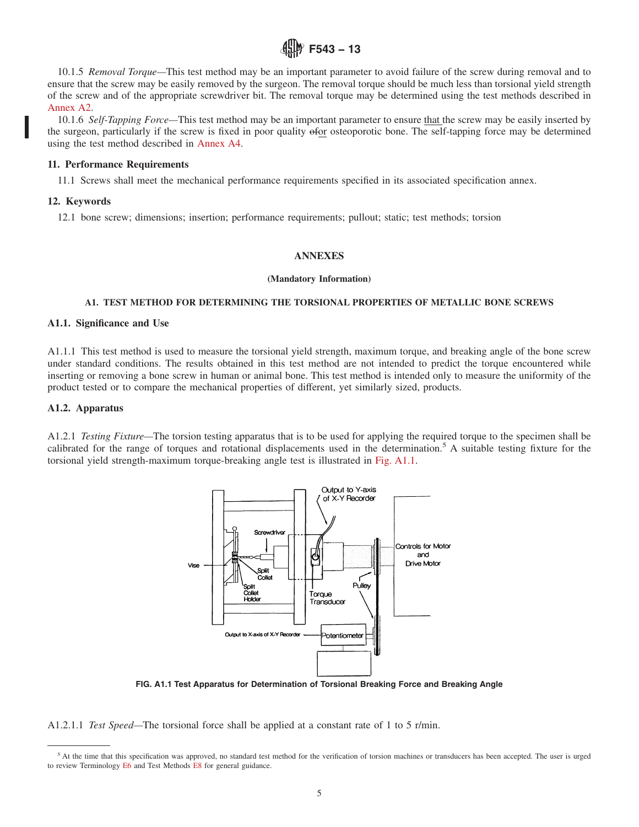

10.1.5 *Removal Torque—*This test method may be an important parameter to avoid failure of the screw during removal and to ensure that the screw may be easily removed by the surgeon. The removal torque should be much less than torsional yield strength of the screw and of the appropriate screwdriver bit. The removal torque may be determined using the test methods described in Annex A2.

10.1.6 *Self-Tapping Force—*This test method may be an important parameter to ensure that the screw may be easily inserted by the surgeon, particularly if the screw is fixed in poor quality ofor osteoporotic bone. The self-tapping force may be determined using the test method described in Annex A4.

#### **11. Performance Requirements**

11.1 Screws shall meet the mechanical performance requirements specified in its associated specification annex.

### **12. Keywords**

12.1 bone screw; dimensions; insertion; performance requirements; pullout; static; test methods; torsion

### **ANNEXES**

#### **(Mandatory Information)**

### **A1. TEST METHOD FOR DETERMINING THE TORSIONAL PROPERTIES OF METALLIC BONE SCREWS**

#### **A1.1. Significance and Use**

A1.1.1 This test method is used to measure the torsional yield strength, maximum torque, and breaking angle of the bone screw under standard conditions. The results obtained in this test method are not intended to predict the torque encountered while inserting or removing a bone screw in human or animal bone. This test method is intended only to measure the uniformity of the product tested or to compare the mechanical properties of different, yet similarly sized, products.

### **A1.2. Apparatus**

A1.2.1 *Testing Fixture—*The torsion testing apparatus that is to be used for applying the required torque to the specimen shall be calibrated for the range of torques and rotational displacements used in the determination.<sup>5</sup> A suitable testing fixture for the torsional yield strength-maximum torque-breaking angle test is illustrated in Fig. A1.1.



**FIG. A1.1 Test Apparatus for Determination of Torsional Breaking Force and Breaking Angle**

A1.2.1.1 *Test Speed—*The torsional force shall be applied at a constant rate of 1 to 5 r/min.

<sup>&</sup>lt;sup>5</sup> At the time that this specification was approved, no standard test method for the verification of torsion machines or transducers has been accepted. The user is urged to review Terminology E6 and Test Methods E8 for general guidance.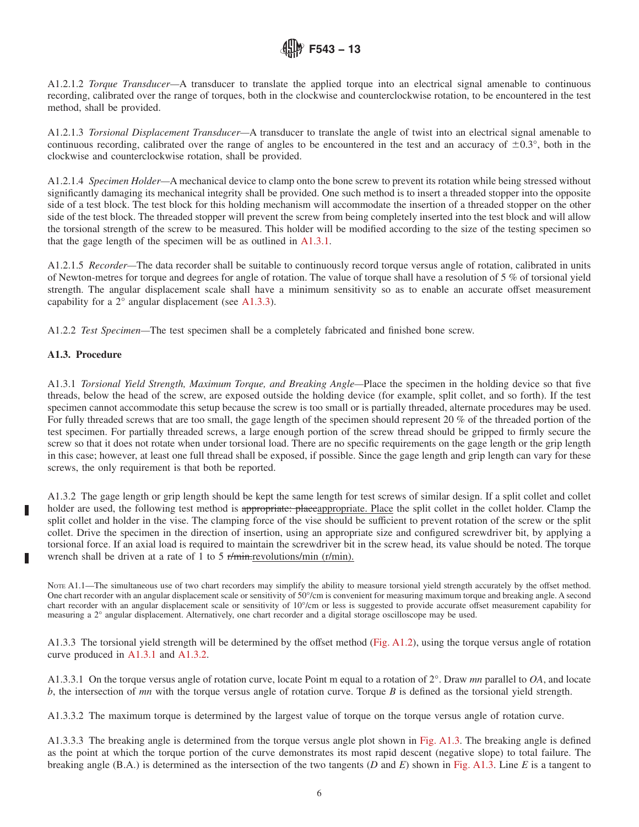A1.2.1.2 *Torque Transducer—*A transducer to translate the applied torque into an electrical signal amenable to continuous recording, calibrated over the range of torques, both in the clockwise and counterclockwise rotation, to be encountered in the test method, shall be provided.

A1.2.1.3 *Torsional Displacement Transducer—*A transducer to translate the angle of twist into an electrical signal amenable to continuous recording, calibrated over the range of angles to be encountered in the test and an accuracy of  $\pm 0.3^{\circ}$ , both in the clockwise and counterclockwise rotation, shall be provided.

A1.2.1.4 *Specimen Holder—*A mechanical device to clamp onto the bone screw to prevent its rotation while being stressed without significantly damaging its mechanical integrity shall be provided. One such method is to insert a threaded stopper into the opposite side of a test block. The test block for this holding mechanism will accommodate the insertion of a threaded stopper on the other side of the test block. The threaded stopper will prevent the screw from being completely inserted into the test block and will allow the torsional strength of the screw to be measured. This holder will be modified according to the size of the testing specimen so that the gage length of the specimen will be as outlined in A1.3.1.

A1.2.1.5 *Recorder—*The data recorder shall be suitable to continuously record torque versus angle of rotation, calibrated in units of Newton-metres for torque and degrees for angle of rotation. The value of torque shall have a resolution of 5 % of torsional yield strength. The angular displacement scale shall have a minimum sensitivity so as to enable an accurate offset measurement capability for a 2° angular displacement (see A1.3.3).

A1.2.2 *Test Specimen—*The test specimen shall be a completely fabricated and finished bone screw.

## **A1.3. Procedure**

A1.3.1 *Torsional Yield Strength, Maximum Torque, and Breaking Angle—*Place the specimen in the holding device so that five threads, below the head of the screw, are exposed outside the holding device (for example, split collet, and so forth). If the test specimen cannot accommodate this setup because the screw is too small or is partially threaded, alternate procedures may be used. For fully threaded screws that are too small, the gage length of the specimen should represent 20 % of the threaded portion of the test specimen. For partially threaded screws, a large enough portion of the screw thread should be gripped to firmly secure the screw so that it does not rotate when under torsional load. There are no specific requirements on the gage length or the grip length in this case; however, at least one full thread shall be exposed, if possible. Since the gage length and grip length can vary for these screws, the only requirement is that both be reported.

A1.3.2 The gage length or grip length should be kept the same length for test screws of similar design. If a split collet and collet holder are used, the following test method is appropriate: placeappropriate. Place the split collet in the collet holder. Clamp the split collet and holder in the vise. The clamping force of the vise should be sufficient to prevent rotation of the screw or the split collet. Drive the specimen in the direction of insertion, using an appropriate size and configured screwdriver bit, by applying a torsional force. If an axial load is required to maintain the screwdriver bit in the screw head, its value should be noted. The torque wrench shall be driven at a rate of 1 to 5 r/min.revolutions/min (r/min).

Nore A1.1—The simultaneous use of two chart recorders may simplify the ability to measure torsional yield strength accurately by the offset method. One chart recorder with an angular displacement scale or sensitivity of 50°/cm is convenient for measuring maximum torque and breaking angle. A second chart recorder with an angular displacement scale or sensitivity of 10°/cm or less is suggested to provide accurate offset measurement capability for measuring a 2° angular displacement. Alternatively, one chart recorder and a digital storage oscilloscope may be used.

A1.3.3 The torsional yield strength will be determined by the offset method (Fig. A1.2), using the torque versus angle of rotation curve produced in A1.3.1 and A1.3.2.

A1.3.3.1 On the torque versus angle of rotation curve, locate Point m equal to a rotation of 2°. Draw *mn* parallel to *OA*, and locate *b*, the intersection of *mn* with the torque versus angle of rotation curve. Torque *B* is defined as the torsional yield strength.

A1.3.3.2 The maximum torque is determined by the largest value of torque on the torque versus angle of rotation curve.

A1.3.3.3 The breaking angle is determined from the torque versus angle plot shown in Fig. A1.3. The breaking angle is defined as the point at which the torque portion of the curve demonstrates its most rapid descent (negative slope) to total failure. The breaking angle (B.A.) is determined as the intersection of the two tangents (*D* and *E*) shown in Fig. A1.3. Line *E* is a tangent to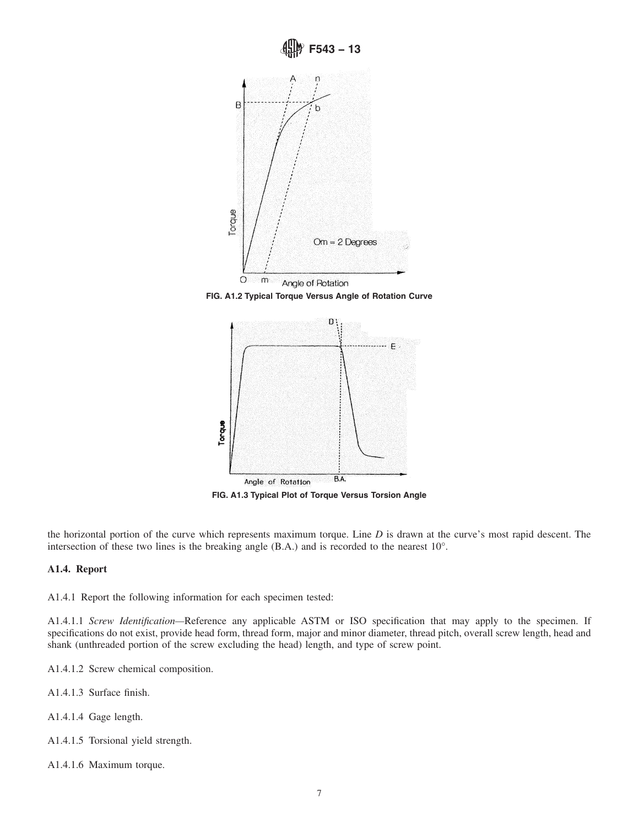

**FIG. A1.2 Typical Torque Versus Angle of Rotation Curve**



**FIG. A1.3 Typical Plot of Torque Versus Torsion Angle**

the horizontal portion of the curve which represents maximum torque. Line *D* is drawn at the curve's most rapid descent. The intersection of these two lines is the breaking angle (B.A.) and is recorded to the nearest 10°.

## **A1.4. Report**

A1.4.1 Report the following information for each specimen tested:

A1.4.1.1 *Screw Identification—*Reference any applicable ASTM or ISO specification that may apply to the specimen. If specifications do not exist, provide head form, thread form, major and minor diameter, thread pitch, overall screw length, head and shank (unthreaded portion of the screw excluding the head) length, and type of screw point.

A1.4.1.2 Screw chemical composition.

- A1.4.1.3 Surface finish.
- A1.4.1.4 Gage length.
- A1.4.1.5 Torsional yield strength.
- A1.4.1.6 Maximum torque.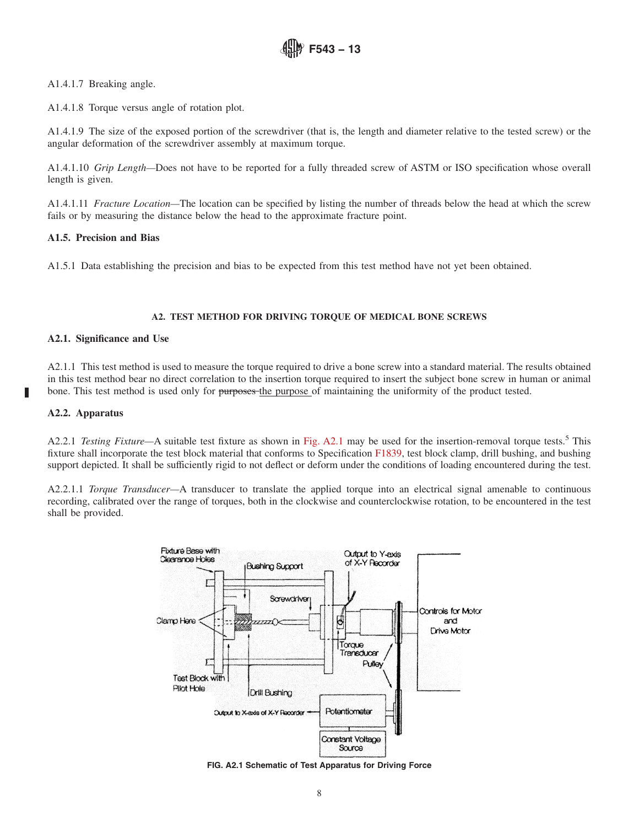A1.4.1.7 Breaking angle.

A1.4.1.8 Torque versus angle of rotation plot.

A1.4.1.9 The size of the exposed portion of the screwdriver (that is, the length and diameter relative to the tested screw) or the angular deformation of the screwdriver assembly at maximum torque.

A1.4.1.10 *Grip Length—*Does not have to be reported for a fully threaded screw of ASTM or ISO specification whose overall length is given.

A1.4.1.11 *Fracture Location—*The location can be specified by listing the number of threads below the head at which the screw fails or by measuring the distance below the head to the approximate fracture point.

## **A1.5. Precision and Bias**

A1.5.1 Data establishing the precision and bias to be expected from this test method have not yet been obtained.

## **A2. TEST METHOD FOR DRIVING TORQUE OF MEDICAL BONE SCREWS**

## **A2.1. Significance and Use**

A2.1.1 This test method is used to measure the torque required to drive a bone screw into a standard material. The results obtained in this test method bear no direct correlation to the insertion torque required to insert the subject bone screw in human or animal bone. This test method is used only for purposes the purpose of maintaining the uniformity of the product tested.

## **A2.2. Apparatus**

A2.2.1 *Testing Fixture*—A suitable test fixture as shown in Fig. A2.1 may be used for the insertion-removal torque tests.<sup>5</sup> This fixture shall incorporate the test block material that conforms to Specification F1839, test block clamp, drill bushing, and bushing support depicted. It shall be sufficiently rigid to not deflect or deform under the conditions of loading encountered during the test.

A2.2.1.1 *Torque Transducer—*A transducer to translate the applied torque into an electrical signal amenable to continuous recording, calibrated over the range of torques, both in the clockwise and counterclockwise rotation, to be encountered in the test shall be provided.



**FIG. A2.1 Schematic of Test Apparatus for Driving Force**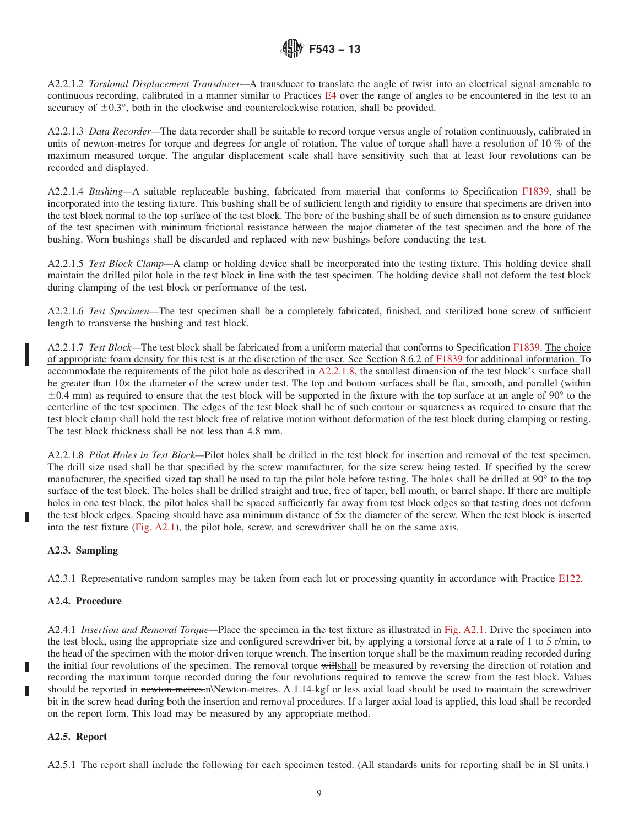A2.2.1.2 *Torsional Displacement Transducer—*A transducer to translate the angle of twist into an electrical signal amenable to continuous recording, calibrated in a manner similar to Practices E4 over the range of angles to be encountered in the test to an accuracy of  $\pm 0.3^{\circ}$ , both in the clockwise and counterclockwise rotation, shall be provided.

A2.2.1.3 *Data Recorder—*The data recorder shall be suitable to record torque versus angle of rotation continuously, calibrated in units of newton-metres for torque and degrees for angle of rotation. The value of torque shall have a resolution of 10 % of the maximum measured torque. The angular displacement scale shall have sensitivity such that at least four revolutions can be recorded and displayed.

A2.2.1.4 *Bushing—*A suitable replaceable bushing, fabricated from material that conforms to Specification F1839, shall be incorporated into the testing fixture. This bushing shall be of sufficient length and rigidity to ensure that specimens are driven into the test block normal to the top surface of the test block. The bore of the bushing shall be of such dimension as to ensure guidance of the test specimen with minimum frictional resistance between the major diameter of the test specimen and the bore of the bushing. Worn bushings shall be discarded and replaced with new bushings before conducting the test.

A2.2.1.5 *Test Block Clamp—*A clamp or holding device shall be incorporated into the testing fixture. This holding device shall maintain the drilled pilot hole in the test block in line with the test specimen. The holding device shall not deform the test block during clamping of the test block or performance of the test.

A2.2.1.6 *Test Specimen—*The test specimen shall be a completely fabricated, finished, and sterilized bone screw of sufficient length to transverse the bushing and test block.

A2.2.1.7 *Test Block—*The test block shall be fabricated from a uniform material that conforms to Specification F1839. The choice of appropriate foam density for this test is at the discretion of the user. See Section 8.6.2 of F1839 for additional information. To accommodate the requirements of the pilot hole as described in A2.2.1.8, the smallest dimension of the test block's surface shall be greater than 10× the diameter of the screw under test. The top and bottom surfaces shall be flat, smooth, and parallel (within  $\pm 0.4$  mm) as required to ensure that the test block will be supported in the fixture with the top surface at an angle of 90 $\degree$  to the centerline of the test specimen. The edges of the test block shall be of such contour or squareness as required to ensure that the test block clamp shall hold the test block free of relative motion without deformation of the test block during clamping or testing. The test block thickness shall be not less than 4.8 mm.

A2.2.1.8 *Pilot Holes in Test Block—*Pilot holes shall be drilled in the test block for insertion and removal of the test specimen. The drill size used shall be that specified by the screw manufacturer, for the size screw being tested. If specified by the screw manufacturer, the specified sized tap shall be used to tap the pilot hole before testing. The holes shall be drilled at 90° to the top surface of the test block. The holes shall be drilled straight and true, free of taper, bell mouth, or barrel shape. If there are multiple holes in one test block, the pilot holes shall be spaced sufficiently far away from test block edges so that testing does not deform the test block edges. Spacing should have asa minimum distance of 5× the diameter of the screw. When the test block is inserted into the test fixture (Fig. A2.1), the pilot hole, screw, and screwdriver shall be on the same axis.

## **A2.3. Sampling**

A2.3.1 Representative random samples may be taken from each lot or processing quantity in accordance with Practice E122.

## **A2.4. Procedure**

A2.4.1 *Insertion and Removal Torque—*Place the specimen in the test fixture as illustrated in Fig. A2.1. Drive the specimen into the test block, using the appropriate size and configured screwdriver bit, by applying a torsional force at a rate of 1 to 5 r/min, to the head of the specimen with the motor-driven torque wrench. The insertion torque shall be the maximum reading recorded during the initial four revolutions of the specimen. The removal torque willshall be measured by reversing the direction of rotation and recording the maximum torque recorded during the four revolutions required to remove the screw from the test block. Values should be reported in newton-metres.n\Newton-metres. A 1.14-kgf or less axial load should be used to maintain the screwdriver bit in the screw head during both the insertion and removal procedures. If a larger axial load is applied, this load shall be recorded on the report form. This load may be measured by any appropriate method.

## **A2.5. Report**

A2.5.1 The report shall include the following for each specimen tested. (All standards units for reporting shall be in SI units.)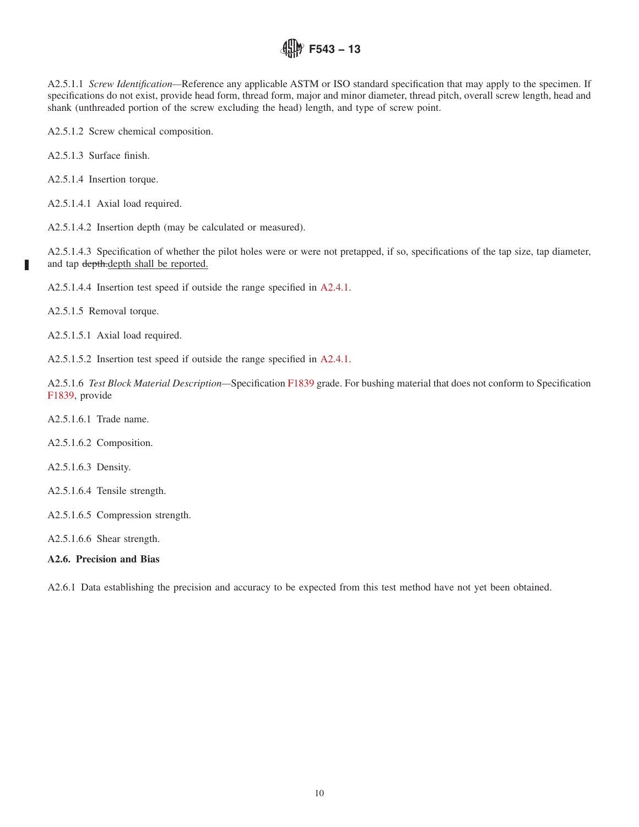A2.5.1.1 *Screw Identification—*Reference any applicable ASTM or ISO standard specification that may apply to the specimen. If specifications do not exist, provide head form, thread form, major and minor diameter, thread pitch, overall screw length, head and shank (unthreaded portion of the screw excluding the head) length, and type of screw point.

A2.5.1.2 Screw chemical composition.

A2.5.1.3 Surface finish.

A2.5.1.4 Insertion torque.

A2.5.1.4.1 Axial load required.

A2.5.1.4.2 Insertion depth (may be calculated or measured).

A2.5.1.4.3 Specification of whether the pilot holes were or were not pretapped, if so, specifications of the tap size, tap diameter, and tap depth.depth shall be reported.

A2.5.1.4.4 Insertion test speed if outside the range specified in A2.4.1.

A2.5.1.5 Removal torque.

П

A2.5.1.5.1 Axial load required.

A2.5.1.5.2 Insertion test speed if outside the range specified in A2.4.1.

A2.5.1.6 *Test Block Material Description—*Specification F1839 grade. For bushing material that does not conform to Specification F1839, provide

A2.5.1.6.1 Trade name.

A2.5.1.6.2 Composition.

A2.5.1.6.3 Density.

A2.5.1.6.4 Tensile strength.

A2.5.1.6.5 Compression strength.

A2.5.1.6.6 Shear strength.

## **A2.6. Precision and Bias**

A2.6.1 Data establishing the precision and accuracy to be expected from this test method have not yet been obtained.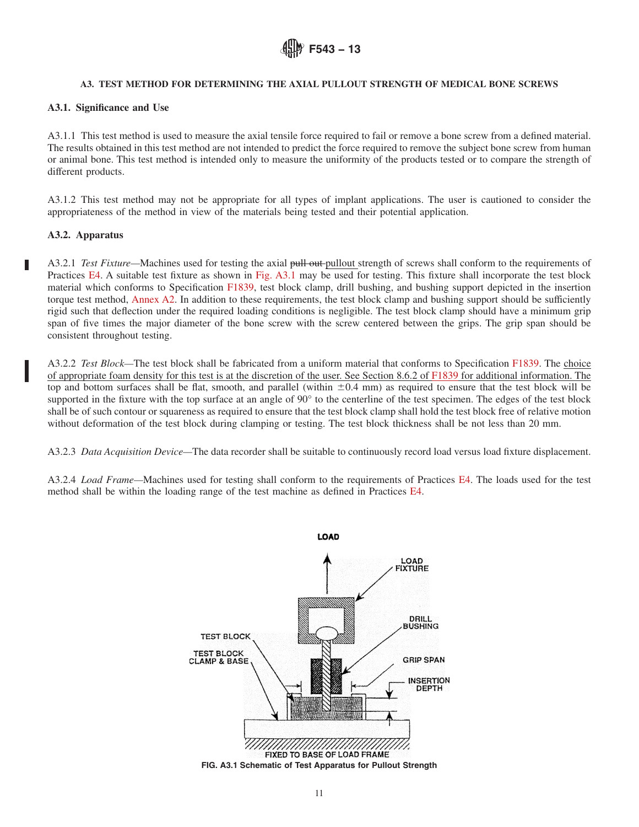

## **A3. TEST METHOD FOR DETERMINING THE AXIAL PULLOUT STRENGTH OF MEDICAL BONE SCREWS**

## **A3.1. Significance and Use**

A3.1.1 This test method is used to measure the axial tensile force required to fail or remove a bone screw from a defined material. The results obtained in this test method are not intended to predict the force required to remove the subject bone screw from human or animal bone. This test method is intended only to measure the uniformity of the products tested or to compare the strength of different products.

A3.1.2 This test method may not be appropriate for all types of implant applications. The user is cautioned to consider the appropriateness of the method in view of the materials being tested and their potential application.

## **A3.2. Apparatus**

A3.2.1 *Test Fixture*—Machines used for testing the axial pull out pullout strength of screws shall conform to the requirements of Practices E4. A suitable test fixture as shown in Fig. A3.1 may be used for testing. This fixture shall incorporate the test block material which conforms to Specification F1839, test block clamp, drill bushing, and bushing support depicted in the insertion torque test method, Annex A2. In addition to these requirements, the test block clamp and bushing support should be sufficiently rigid such that deflection under the required loading conditions is negligible. The test block clamp should have a minimum grip span of five times the major diameter of the bone screw with the screw centered between the grips. The grip span should be consistent throughout testing.

A3.2.2 *Test Block—*The test block shall be fabricated from a uniform material that conforms to Specification F1839. The choice of appropriate foam density for this test is at the discretion of the user. See Section 8.6.2 of F1839 for additional information. The top and bottom surfaces shall be flat, smooth, and parallel (within  $\pm 0.4$  mm) as required to ensure that the test block will be supported in the fixture with the top surface at an angle of 90° to the centerline of the test specimen. The edges of the test block shall be of such contour or squareness as required to ensure that the test block clamp shall hold the test block free of relative motion without deformation of the test block during clamping or testing. The test block thickness shall be not less than 20 mm.

A3.2.3 *Data Acquisition Device—*The data recorder shall be suitable to continuously record load versus load fixture displacement.

A3.2.4 *Load Frame—*Machines used for testing shall conform to the requirements of Practices E4. The loads used for the test method shall be within the loading range of the test machine as defined in Practices E4.

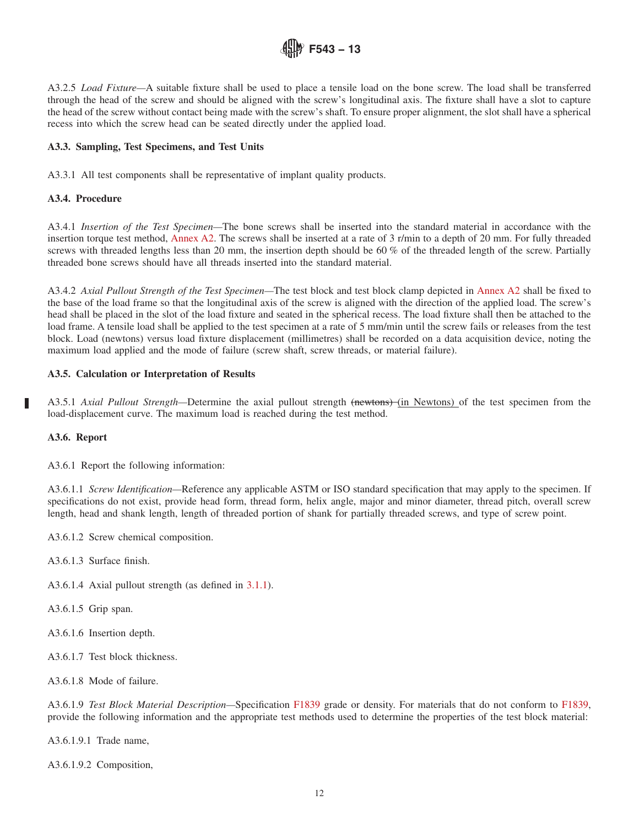

A3.2.5 *Load Fixture—*A suitable fixture shall be used to place a tensile load on the bone screw. The load shall be transferred through the head of the screw and should be aligned with the screw's longitudinal axis. The fixture shall have a slot to capture the head of the screw without contact being made with the screw's shaft. To ensure proper alignment, the slot shall have a spherical recess into which the screw head can be seated directly under the applied load.

## **A3.3. Sampling, Test Specimens, and Test Units**

A3.3.1 All test components shall be representative of implant quality products.

# **A3.4. Procedure**

A3.4.1 *Insertion of the Test Specimen—*The bone screws shall be inserted into the standard material in accordance with the insertion torque test method, Annex A2. The screws shall be inserted at a rate of 3 r/min to a depth of 20 mm. For fully threaded screws with threaded lengths less than 20 mm, the insertion depth should be 60 % of the threaded length of the screw. Partially threaded bone screws should have all threads inserted into the standard material.

A3.4.2 *Axial Pullout Strength of the Test Specimen—*The test block and test block clamp depicted in Annex A2 shall be fixed to the base of the load frame so that the longitudinal axis of the screw is aligned with the direction of the applied load. The screw's head shall be placed in the slot of the load fixture and seated in the spherical recess. The load fixture shall then be attached to the load frame. A tensile load shall be applied to the test specimen at a rate of 5 mm/min until the screw fails or releases from the test block. Load (newtons) versus load fixture displacement (millimetres) shall be recorded on a data acquisition device, noting the maximum load applied and the mode of failure (screw shaft, screw threads, or material failure).

## **A3.5. Calculation or Interpretation of Results**

A3.5.1 *Axial Pullout Strength—*Determine the axial pullout strength (newtons) (in Newtons) of the test specimen from the load-displacement curve. The maximum load is reached during the test method.

## **A3.6. Report**

A3.6.1 Report the following information:

A3.6.1.1 *Screw Identification—*Reference any applicable ASTM or ISO standard specification that may apply to the specimen. If specifications do not exist, provide head form, thread form, helix angle, major and minor diameter, thread pitch, overall screw length, head and shank length, length of threaded portion of shank for partially threaded screws, and type of screw point.

A3.6.1.2 Screw chemical composition.

A3.6.1.3 Surface finish.

A3.6.1.4 Axial pullout strength (as defined in 3.1.1).

A3.6.1.5 Grip span.

A3.6.1.6 Insertion depth.

A3.6.1.7 Test block thickness.

A3.6.1.8 Mode of failure.

A3.6.1.9 *Test Block Material Description—*Specification F1839 grade or density. For materials that do not conform to F1839, provide the following information and the appropriate test methods used to determine the properties of the test block material:

A3.6.1.9.1 Trade name,

A3.6.1.9.2 Composition,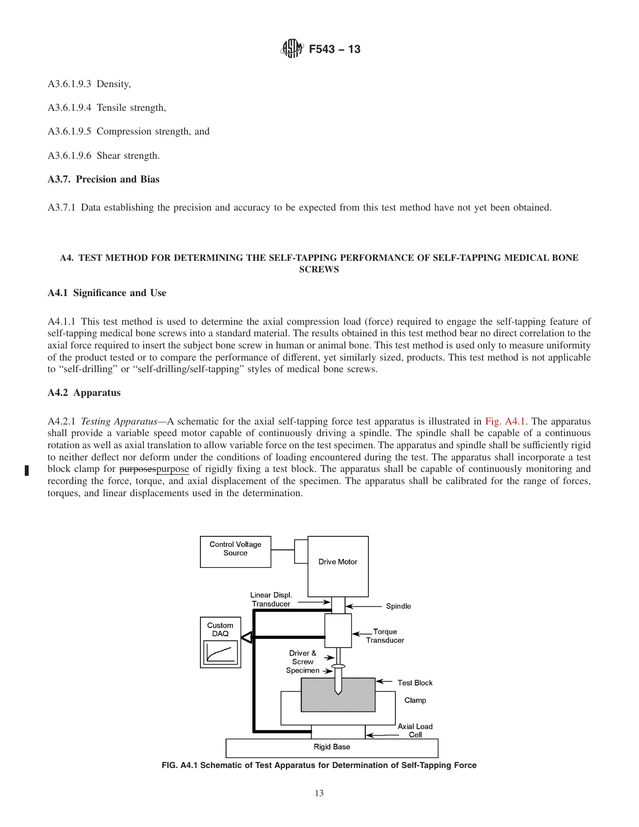A3.6.1.9.3 Density,

A3.6.1.9.4 Tensile strength,

A3.6.1.9.5 Compression strength, and

A3.6.1.9.6 Shear strength.

# **A3.7. Precision and Bias**

A3.7.1 Data establishing the precision and accuracy to be expected from this test method have not yet been obtained.

## **A4. TEST METHOD FOR DETERMINING THE SELF-TAPPING PERFORMANCE OF SELF-TAPPING MEDICAL BONE SCREWS**

## **A4.1 Significance and Use**

A4.1.1 This test method is used to determine the axial compression load (force) required to engage the self-tapping feature of self-tapping medical bone screws into a standard material. The results obtained in this test method bear no direct correlation to the axial force required to insert the subject bone screw in human or animal bone. This test method is used only to measure uniformity of the product tested or to compare the performance of different, yet similarly sized, products. This test method is not applicable to "self-drilling" or "self-drilling/self-tapping" styles of medical bone screws.

# **A4.2 Apparatus**

П

A4.2.1 *Testing Apparatus—*A schematic for the axial self-tapping force test apparatus is illustrated in Fig. A4.1. The apparatus shall provide a variable speed motor capable of continuously driving a spindle. The spindle shall be capable of a continuous rotation as well as axial translation to allow variable force on the test specimen. The apparatus and spindle shall be sufficiently rigid to neither deflect nor deform under the conditions of loading encountered during the test. The apparatus shall incorporate a test block clamp for purposespurpose of rigidly fixing a test block. The apparatus shall be capable of continuously monitoring and recording the force, torque, and axial displacement of the specimen. The apparatus shall be calibrated for the range of forces, torques, and linear displacements used in the determination.



**FIG. A4.1 Schematic of Test Apparatus for Determination of Self-Tapping Force**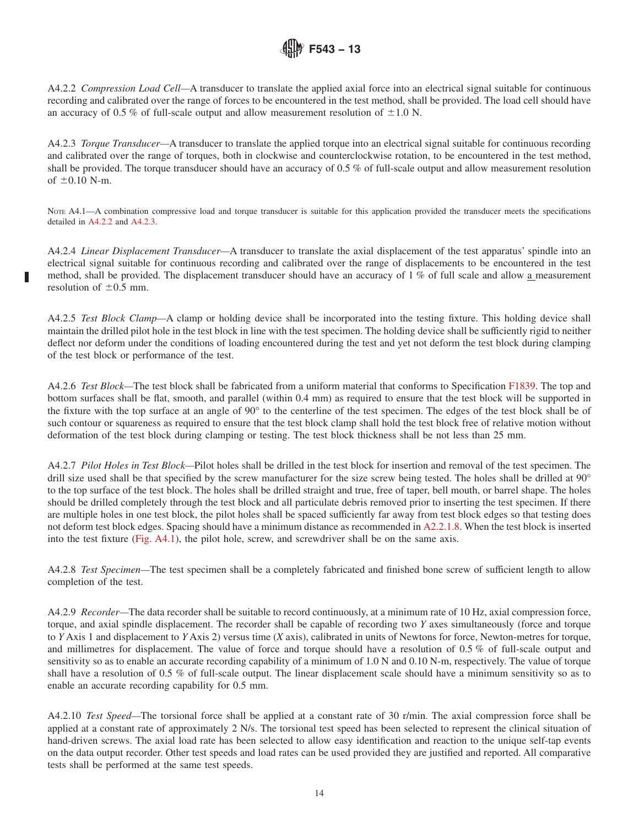A4.2.2 *Compression Load Cell—*A transducer to translate the applied axial force into an electrical signal suitable for continuous recording and calibrated over the range of forces to be encountered in the test method, shall be provided. The load cell should have an accuracy of 0.5 % of full-scale output and allow measurement resolution of  $\pm 1.0$  N.

A4.2.3 *Torque Transducer—*A transducer to translate the applied torque into an electrical signal suitable for continuous recording and calibrated over the range of torques, both in clockwise and counterclockwise rotation, to be encountered in the test method, shall be provided. The torque transducer should have an accuracy of 0.5 % of full-scale output and allow measurement resolution of  $\pm 0.10$  N-m.

Note A4.1—A combination compressive load and torque transducer is suitable for this application provided the transducer meets the specifications detailed in A4.2.2 and A4.2.3.

A4.2.4 *Linear Displacement Transducer—*A transducer to translate the axial displacement of the test apparatus' spindle into an electrical signal suitable for continuous recording and calibrated over the range of displacements to be encountered in the test method, shall be provided. The displacement transducer should have an accuracy of 1 % of full scale and allow a measurement resolution of  $\pm 0.5$  mm.

A4.2.5 *Test Block Clamp—*A clamp or holding device shall be incorporated into the testing fixture. This holding device shall maintain the drilled pilot hole in the test block in line with the test specimen. The holding device shall be sufficiently rigid to neither deflect nor deform under the conditions of loading encountered during the test and yet not deform the test block during clamping of the test block or performance of the test.

A4.2.6 *Test Block—*The test block shall be fabricated from a uniform material that conforms to Specification F1839. The top and bottom surfaces shall be flat, smooth, and parallel (within 0.4 mm) as required to ensure that the test block will be supported in the fixture with the top surface at an angle of 90° to the centerline of the test specimen. The edges of the test block shall be of such contour or squareness as required to ensure that the test block clamp shall hold the test block free of relative motion without deformation of the test block during clamping or testing. The test block thickness shall be not less than 25 mm.

A4.2.7 *Pilot Holes in Test Block—*Pilot holes shall be drilled in the test block for insertion and removal of the test specimen. The drill size used shall be that specified by the screw manufacturer for the size screw being tested. The holes shall be drilled at 90° to the top surface of the test block. The holes shall be drilled straight and true, free of taper, bell mouth, or barrel shape. The holes should be drilled completely through the test block and all particulate debris removed prior to inserting the test specimen. If there are multiple holes in one test block, the pilot holes shall be spaced sufficiently far away from test block edges so that testing does not deform test block edges. Spacing should have a minimum distance as recommended in A2.2.1.8. When the test block is inserted into the test fixture (Fig. A4.1), the pilot hole, screw, and screwdriver shall be on the same axis.

A4.2.8 *Test Specimen—*The test specimen shall be a completely fabricated and finished bone screw of sufficient length to allow completion of the test.

A4.2.9 *Recorder—*The data recorder shall be suitable to record continuously, at a minimum rate of 10 Hz, axial compression force, torque, and axial spindle displacement. The recorder shall be capable of recording two *Y* axes simultaneously (force and torque to *Y* Axis 1 and displacement to *Y* Axis 2) versus time (*X* axis), calibrated in units of Newtons for force, Newton-metres for torque, and millimetres for displacement. The value of force and torque should have a resolution of 0.5 % of full-scale output and sensitivity so as to enable an accurate recording capability of a minimum of 1.0 N and 0.10 N-m, respectively. The value of torque shall have a resolution of 0.5 % of full-scale output. The linear displacement scale should have a minimum sensitivity so as to enable an accurate recording capability for 0.5 mm.

A4.2.10 *Test Speed—*The torsional force shall be applied at a constant rate of 30 r/min. The axial compression force shall be applied at a constant rate of approximately 2 N/s. The torsional test speed has been selected to represent the clinical situation of hand-driven screws. The axial load rate has been selected to allow easy identification and reaction to the unique self-tap events on the data output recorder. Other test speeds and load rates can be used provided they are justified and reported. All comparative tests shall be performed at the same test speeds.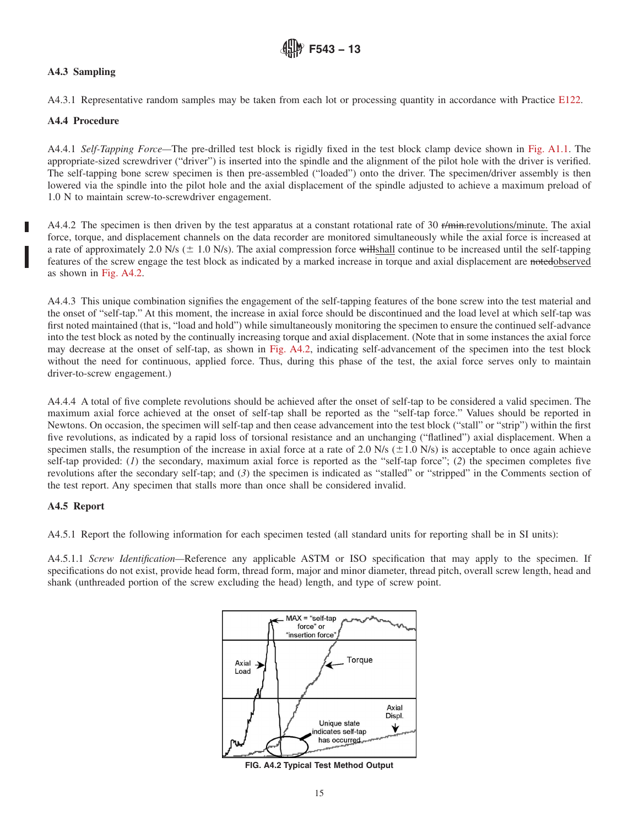# **A4.3 Sampling**

A4.3.1 Representative random samples may be taken from each lot or processing quantity in accordance with Practice E122.

## **A4.4 Procedure**

A4.4.1 *Self-Tapping Force—*The pre-drilled test block is rigidly fixed in the test block clamp device shown in Fig. A1.1. The appropriate-sized screwdriver ("driver") is inserted into the spindle and the alignment of the pilot hole with the driver is verified. The self-tapping bone screw specimen is then pre-assembled ("loaded") onto the driver. The specimen/driver assembly is then lowered via the spindle into the pilot hole and the axial displacement of the spindle adjusted to achieve a maximum preload of 1.0 N to maintain screw-to-screwdriver engagement.

A4.4.2 The specimen is then driven by the test apparatus at a constant rotational rate of 30  $r/m$ in.revolutions/minute. The axial force, torque, and displacement channels on the data recorder are monitored simultaneously while the axial force is increased at a rate of approximately 2.0 N/s ( $\pm$  1.0 N/s). The axial compression force will shall continue to be increased until the self-tapping features of the screw engage the test block as indicated by a marked increase in torque and axial displacement are notedobserved as shown in Fig. A4.2.

A4.4.3 This unique combination signifies the engagement of the self-tapping features of the bone screw into the test material and the onset of "self-tap." At this moment, the increase in axial force should be discontinued and the load level at which self-tap was first noted maintained (that is, "load and hold") while simultaneously monitoring the specimen to ensure the continued self-advance into the test block as noted by the continually increasing torque and axial displacement. (Note that in some instances the axial force may decrease at the onset of self-tap, as shown in Fig. A4.2, indicating self-advancement of the specimen into the test block without the need for continuous, applied force. Thus, during this phase of the test, the axial force serves only to maintain driver-to-screw engagement.)

A4.4.4 A total of five complete revolutions should be achieved after the onset of self-tap to be considered a valid specimen. The maximum axial force achieved at the onset of self-tap shall be reported as the "self-tap force." Values should be reported in Newtons. On occasion, the specimen will self-tap and then cease advancement into the test block ("stall" or "strip") within the first five revolutions, as indicated by a rapid loss of torsional resistance and an unchanging ("flatlined") axial displacement. When a specimen stalls, the resumption of the increase in axial force at a rate of 2.0 N/s ( $\pm$ 1.0 N/s) is acceptable to once again achieve self-tap provided: (*1*) the secondary, maximum axial force is reported as the "self-tap force"; (*2*) the specimen completes five revolutions after the secondary self-tap; and (*3*) the specimen is indicated as "stalled" or "stripped" in the Comments section of the test report. Any specimen that stalls more than once shall be considered invalid.

## **A4.5 Report**

A4.5.1 Report the following information for each specimen tested (all standard units for reporting shall be in SI units):

A4.5.1.1 *Screw Identification—*Reference any applicable ASTM or ISO specification that may apply to the specimen. If specifications do not exist, provide head form, thread form, major and minor diameter, thread pitch, overall screw length, head and shank (unthreaded portion of the screw excluding the head) length, and type of screw point.



**FIG. A4.2 Typical Test Method Output**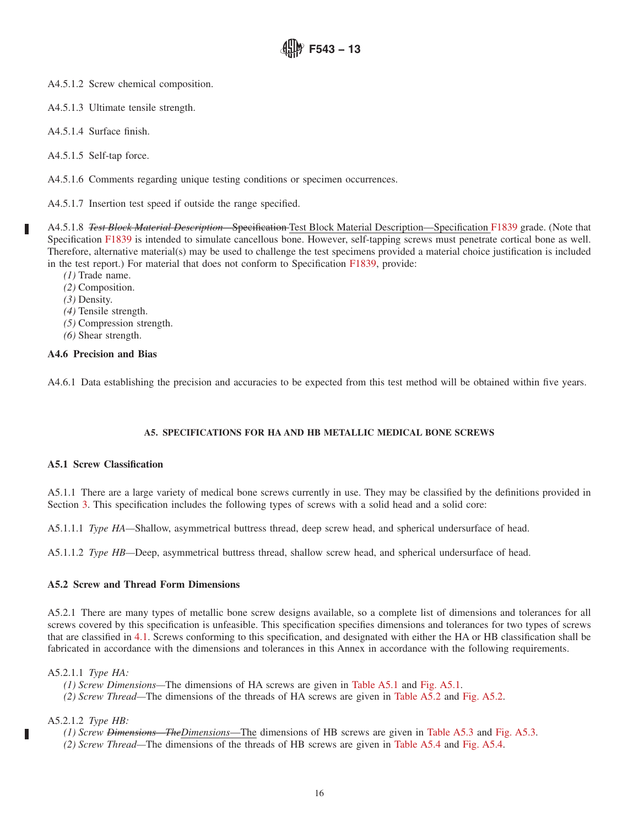A4.5.1.2 Screw chemical composition.

- A4.5.1.3 Ultimate tensile strength.
- A4.5.1.4 Surface finish.
- A4.5.1.5 Self-tap force.

A4.5.1.6 Comments regarding unique testing conditions or specimen occurrences.

A4.5.1.7 Insertion test speed if outside the range specified.

A4.5.1.8 *Test Block Material Description—*Specification Test Block Material Description—Specification F1839 grade. (Note that Specification F1839 is intended to simulate cancellous bone. However, self-tapping screws must penetrate cortical bone as well. Therefore, alternative material(s) may be used to challenge the test specimens provided a material choice justification is included in the test report.) For material that does not conform to Specification F1839, provide:

- *(1)* Trade name.
- *(2)* Composition.
- *(3)* Density.

П

- *(4)* Tensile strength.
- *(5)* Compression strength.
- *(6)* Shear strength.

## **A4.6 Precision and Bias**

A4.6.1 Data establishing the precision and accuracies to be expected from this test method will be obtained within five years.

## **A5. SPECIFICATIONS FOR HA AND HB METALLIC MEDICAL BONE SCREWS**

## **A5.1 Screw Classification**

A5.1.1 There are a large variety of medical bone screws currently in use. They may be classified by the definitions provided in Section 3. This specification includes the following types of screws with a solid head and a solid core:

A5.1.1.1 *Type HA—*Shallow, asymmetrical buttress thread, deep screw head, and spherical undersurface of head.

A5.1.1.2 *Type HB—*Deep, asymmetrical buttress thread, shallow screw head, and spherical undersurface of head.

## **A5.2 Screw and Thread Form Dimensions**

A5.2.1 There are many types of metallic bone screw designs available, so a complete list of dimensions and tolerances for all screws covered by this specification is unfeasible. This specification specifies dimensions and tolerances for two types of screws that are classified in 4.1. Screws conforming to this specification, and designated with either the HA or HB classification shall be fabricated in accordance with the dimensions and tolerances in this Annex in accordance with the following requirements.

A5.2.1.1 *Type HA:*

- *(1) Screw Dimensions—*The dimensions of HA screws are given in Table A5.1 and Fig. A5.1.
- *(2) Screw Thread—*The dimensions of the threads of HA screws are given in Table A5.2 and Fig. A5.2.

A5.2.1.2 *Type HB:*

Ш

- *(1) Screw Dimensions—TheDimensions*—The dimensions of HB screws are given in Table A5.3 and Fig. A5.3.
- *(2) Screw Thread—*The dimensions of the threads of HB screws are given in Table A5.4 and Fig. A5.4.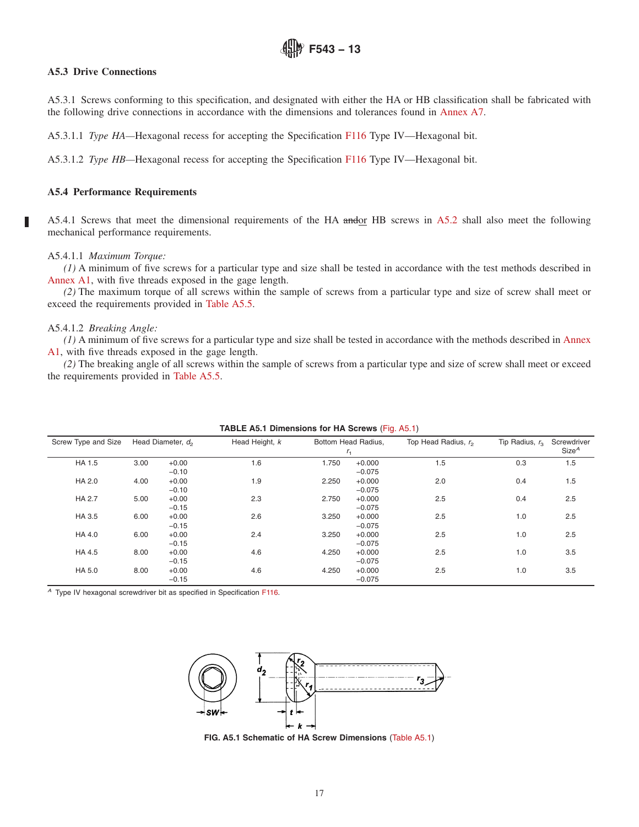### **A5.3 Drive Connections**

A5.3.1 Screws conforming to this specification, and designated with either the HA or HB classification shall be fabricated with the following drive connections in accordance with the dimensions and tolerances found in Annex A7.

A5.3.1.1 *Type HA—*Hexagonal recess for accepting the Specification F116 Type IV—Hexagonal bit.

A5.3.1.2 *Type HB—*Hexagonal recess for accepting the Specification F116 Type IV—Hexagonal bit.

#### **A5.4 Performance Requirements**

A5.4.1 Screws that meet the dimensional requirements of the HA andor HB screws in A5.2 shall also meet the following mechanical performance requirements.

#### A5.4.1.1 *Maximum Torque:*

*(1)* A minimum of five screws for a particular type and size shall be tested in accordance with the test methods described in Annex A1, with five threads exposed in the gage length.

*(2)* The maximum torque of all screws within the sample of screws from a particular type and size of screw shall meet or exceed the requirements provided in Table A5.5.

### A5.4.1.2 *Breaking Angle:*

*(1)* A minimum of five screws for a particular type and size shall be tested in accordance with the methods described in Annex A1, with five threads exposed in the gage length.

*(2)* The breaking angle of all screws within the sample of screws from a particular type and size of screw shall meet or exceed the requirements provided in Table A5.5.

| Screw Type and Size |      | Head Diameter, d <sub>2</sub> | Head Height, k |       | Bottom Head Radius,<br>$r_{1}$ | Top Head Radius, r <sub>2</sub> | Tip Radius, $r_3$ | Screwdriver<br>Size <sup>A</sup> |
|---------------------|------|-------------------------------|----------------|-------|--------------------------------|---------------------------------|-------------------|----------------------------------|
| HA 1.5              | 3.00 | $+0.00$<br>$-0.10$            | 1.6            | 1.750 | $+0.000$<br>$-0.075$           | 1.5                             | 0.3               | 1.5                              |
| HA 2.0              | 4.00 | $+0.00$<br>$-0.10$            | 1.9            | 2.250 | $+0.000$<br>$-0.075$           | 2.0                             | 0.4               | 1.5                              |
| <b>HA 2.7</b>       | 5.00 | $+0.00$<br>$-0.15$            | 2.3            | 2.750 | $+0.000$<br>$-0.075$           | 2.5                             | 0.4               | 2.5                              |
| HA 3.5              | 6.00 | $+0.00$<br>$-0.15$            | 2.6            | 3.250 | $+0.000$<br>$-0.075$           | 2.5                             | 1.0               | 2.5                              |
| HA 4.0              | 6.00 | $+0.00$<br>$-0.15$            | 2.4            | 3.250 | $+0.000$<br>$-0.075$           | 2.5                             | 1.0               | 2.5                              |
| HA 4.5              | 8.00 | $+0.00$<br>$-0.15$            | 4.6            | 4.250 | $+0.000$<br>$-0.075$           | 2.5                             | 1.0               | 3.5                              |
| HA 5.0              | 8.00 | $+0.00$<br>$-0.15$            | 4.6            | 4.250 | $+0.000$<br>$-0.075$           | 2.5                             | 1.0               | 3.5                              |

### **TABLE A5.1 Dimensions for HA Screws** (Fig. A5.1)

<sup>A</sup> Type IV hexagonal screwdriver bit as specified in Specification F116.



**FIG. A5.1 Schematic of HA Screw Dimensions** (Table A5.1)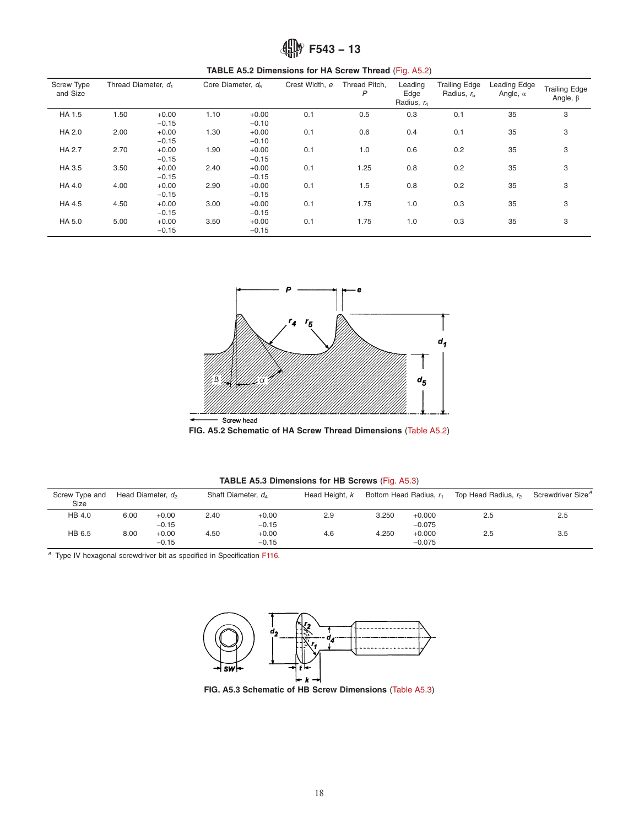| <b>Screw Type</b><br>and Size | Thread Diameter, d <sub>1</sub> |                    | Core Diameter, $d_5$ |                    | Crest Width, e | Thread Pitch,<br>P | Leading<br>Edge<br>Radius, $r_4$ | <b>Trailing Edge</b><br>Radius, $r5$ | Leading Edge<br>Angle, $\alpha$ | <b>Trailing Edge</b><br>Angle, $\beta$ |
|-------------------------------|---------------------------------|--------------------|----------------------|--------------------|----------------|--------------------|----------------------------------|--------------------------------------|---------------------------------|----------------------------------------|
| HA 1.5                        | 1.50                            | $+0.00$<br>$-0.15$ | 1.10                 | $+0.00$<br>$-0.10$ | 0.1            | 0.5                | 0.3                              | 0.1                                  | 35                              | 3                                      |
| HA 2.0                        | 2.00                            | $+0.00$<br>$-0.15$ | 1.30                 | $+0.00$<br>$-0.10$ | 0.1            | 0.6                | 0.4                              | 0.1                                  | 35                              | 3                                      |
| <b>HA 2.7</b>                 | 2.70                            | $+0.00$<br>$-0.15$ | 1.90                 | $+0.00$<br>$-0.15$ | 0.1            | 1.0                | 0.6                              | 0.2                                  | 35                              | 3                                      |
| HA 3.5                        | 3.50                            | $+0.00$<br>$-0.15$ | 2.40                 | $+0.00$<br>$-0.15$ | 0.1            | 1.25               | 0.8                              | 0.2                                  | 35                              | 3                                      |
| HA 4.0                        | 4.00                            | $+0.00$<br>$-0.15$ | 2.90                 | $+0.00$<br>$-0.15$ | 0.1            | 1.5                | 0.8                              | 0.2                                  | 35                              | 3                                      |
| HA4.5                         | 4.50                            | $+0.00$<br>$-0.15$ | 3.00                 | $+0.00$<br>$-0.15$ | 0.1            | 1.75               | 1.0                              | 0.3                                  | 35                              | 3                                      |
| HA 5.0                        | 5.00                            | $+0.00$<br>$-0.15$ | 3.50                 | $+0.00$<br>$-0.15$ | 0.1            | 1.75               | 1.0                              | 0.3                                  | 35                              | 3                                      |

**TABLE A5.2 Dimensions for HA Screw Thread** (Fig. A5.2)



**FIG. A5.2 Schematic of HA Screw Thread Dimensions** (Table A5.2)

| <b>TABLE A5.3 Dimensions for HB Screws (Fig. A5.3)</b> |  |  |  |
|--------------------------------------------------------|--|--|--|
|--------------------------------------------------------|--|--|--|

| Screw Type and<br>Size |      | Head Diameter, d <sub>2</sub> | Shaft Diameter, d |         | Head Height, k |       | Bottom Head Radius, r, | Top Head Radius, r <sub>2</sub> | Screwdriver Size <sup>A</sup> |
|------------------------|------|-------------------------------|-------------------|---------|----------------|-------|------------------------|---------------------------------|-------------------------------|
| HB 4.0                 | 6.00 | $+0.00$                       | 2.40              | $+0.00$ | 2.9            | 3.250 | $+0.000$               | 2.5                             | 2.5                           |
|                        |      | $-0.15$                       |                   | $-0.15$ |                |       | $-0.075$               |                                 |                               |
| HB 6.5                 | 8.00 | $+0.00$                       | 4.50              | $+0.00$ | 4.6            | 4.250 | $+0.000$               | 2.5                             | 3.5                           |
|                        |      | $-0.15$                       |                   | $-0.15$ |                |       | $-0.075$               |                                 |                               |

A Type IV hexagonal screwdriver bit as specified in Specification F116.



**FIG. A5.3 Schematic of HB Screw Dimensions** (Table A5.3)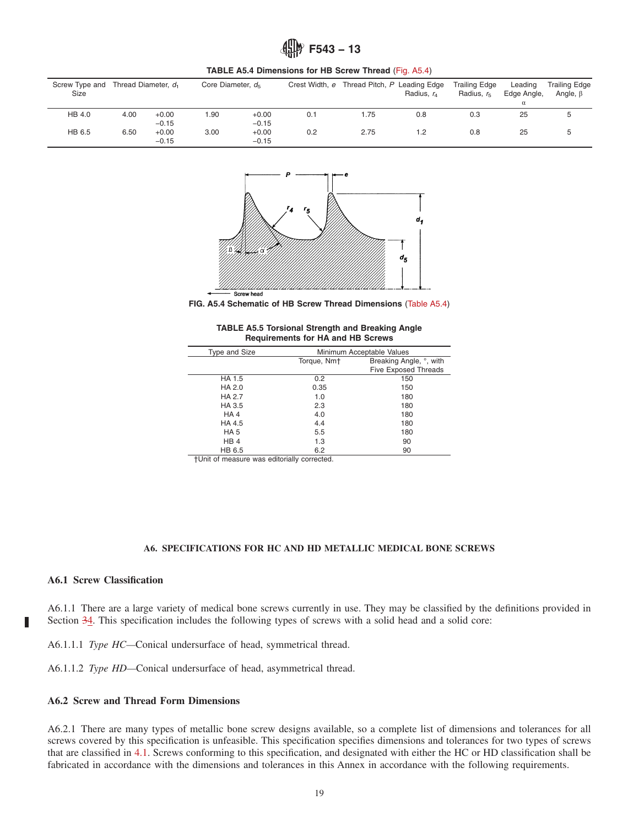

|                        | <b>INDEE AV.T DIMENSIONS TOF THE OCION THROW (FIG. AV.T)</b> |                     |                               |                    |     |      |                                                           |                                      |                        |                                        |
|------------------------|--------------------------------------------------------------|---------------------|-------------------------------|--------------------|-----|------|-----------------------------------------------------------|--------------------------------------|------------------------|----------------------------------------|
| Screw Type and<br>Size |                                                              | Thread Diameter, d. | Core Diameter, $d_{\epsilon}$ |                    |     |      | Crest Width, e Thread Pitch, P Leading Edge<br>Radius, r. | Trailing Edge<br>Radius, $r_{\rm s}$ | Leading<br>Edge Angle, | <b>Trailing Edge</b><br>Angle, $\beta$ |
|                        |                                                              |                     |                               |                    |     |      |                                                           |                                      | α                      |                                        |
| HB 4.0                 | 4.00                                                         | $+0.00$<br>$-0.15$  | 1.90                          | $+0.00$<br>$-0.15$ | 0.1 | 1.75 | 0.8                                                       | 0.3                                  | 25                     |                                        |
| HB 6.5                 | 6.50                                                         | $+0.00$<br>$-0.15$  | 3.00                          | $+0.00$<br>$-0.15$ | 0.2 | 2.75 | 1.2                                                       | 0.8                                  | 25                     | $\mathbf{b}$                           |

**TABLE A5.4 Dimensions for HB Screw Thread** (Fig. A5.4)



**FIG. A5.4 Schematic of HB Screw Thread Dimensions** (Table A5.4)

| <b>TABLE A5.5 Torsional Strength and Breaking Angle</b> |  |
|---------------------------------------------------------|--|
| <b>Requirements for HA and HB Screws</b>                |  |

| Type and Size   |                         | Minimum Acceptable Values   |
|-----------------|-------------------------|-----------------------------|
|                 | Torque, Nm <sup>+</sup> | Breaking Angle, °, with     |
|                 |                         | <b>Five Exposed Threads</b> |
| HA 1.5          | 0.2                     | 150                         |
| HA 2.0          | 0.35                    | 150                         |
| HA 2.7          | 1.0                     | 180                         |
| HA 3.5          | 2.3                     | 180                         |
| HA4             | 4.0                     | 180                         |
| HA 4.5          | 4.4                     | 180                         |
| HA <sub>5</sub> | 5.5                     | 180                         |
| HB <sub>4</sub> | 1.3                     | 90                          |
| HB 6.5          | 6.2                     | 90                          |

†Unit of measure was editorially corrected.

#### **A6. SPECIFICATIONS FOR HC AND HD METALLIC MEDICAL BONE SCREWS**

# **A6.1 Screw Classification**

П

A6.1.1 There are a large variety of medical bone screws currently in use. They may be classified by the definitions provided in Section 34. This specification includes the following types of screws with a solid head and a solid core:

A6.1.1.1 *Type HC—*Conical undersurface of head, symmetrical thread.

A6.1.1.2 *Type HD—*Conical undersurface of head, asymmetrical thread.

## **A6.2 Screw and Thread Form Dimensions**

A6.2.1 There are many types of metallic bone screw designs available, so a complete list of dimensions and tolerances for all screws covered by this specification is unfeasible. This specification specifies dimensions and tolerances for two types of screws that are classified in 4.1. Screws conforming to this specification, and designated with either the HC or HD classification shall be fabricated in accordance with the dimensions and tolerances in this Annex in accordance with the following requirements.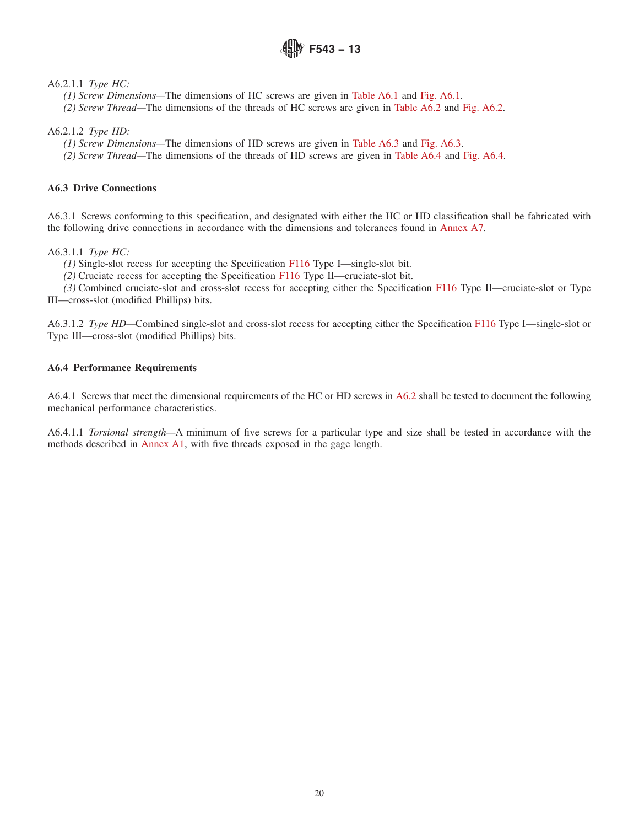A6.2.1.1 *Type HC:*

- *(1) Screw Dimensions—*The dimensions of HC screws are given in Table A6.1 and Fig. A6.1.
- *(2) Screw Thread—*The dimensions of the threads of HC screws are given in Table A6.2 and Fig. A6.2.

A6.2.1.2 *Type HD:*

- *(1) Screw Dimensions—*The dimensions of HD screws are given in Table A6.3 and Fig. A6.3.
- *(2) Screw Thread—*The dimensions of the threads of HD screws are given in Table A6.4 and Fig. A6.4.

## **A6.3 Drive Connections**

A6.3.1 Screws conforming to this specification, and designated with either the HC or HD classification shall be fabricated with the following drive connections in accordance with the dimensions and tolerances found in Annex A7.

A6.3.1.1 *Type HC:*

*(1)* Single-slot recess for accepting the Specification F116 Type I—single-slot bit.

*(2)* Cruciate recess for accepting the Specification F116 Type II—cruciate-slot bit.

*(3)* Combined cruciate-slot and cross-slot recess for accepting either the Specification F116 Type II—cruciate-slot or Type III—cross-slot (modified Phillips) bits.

A6.3.1.2 *Type HD—*Combined single-slot and cross-slot recess for accepting either the Specification F116 Type I—single-slot or Type III—cross-slot (modified Phillips) bits.

## **A6.4 Performance Requirements**

A6.4.1 Screws that meet the dimensional requirements of the HC or HD screws in A6.2 shall be tested to document the following mechanical performance characteristics.

A6.4.1.1 *Torsional strength—*A minimum of five screws for a particular type and size shall be tested in accordance with the methods described in Annex A1, with five threads exposed in the gage length.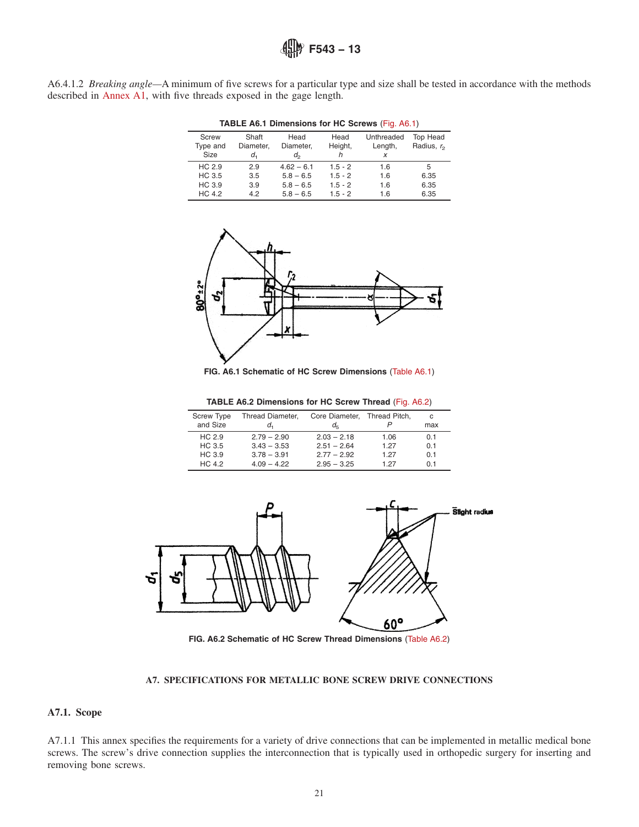A6.4.1.2 *Breaking angle—*A minimum of five screws for a particular type and size shall be tested in accordance with the methods described in Annex A1, with five threads exposed in the gage length.

|               | <b>TABLE A6.1 Dimensions for HC Screws (Fig. A6.1)</b> |              |           |            |                        |  |  |  |  |
|---------------|--------------------------------------------------------|--------------|-----------|------------|------------------------|--|--|--|--|
| <b>Screw</b>  | Shaft                                                  | Head         | Head      | Unthreaded | <b>Top Head</b>        |  |  |  |  |
| Type and      | Diameter,                                              | Diameter,    | Height,   | Length,    | Radius, r <sub>2</sub> |  |  |  |  |
| Size          | d,                                                     | d,           | h         | X          |                        |  |  |  |  |
| HC 2.9        | 2.9                                                    | $4.62 - 6.1$ | $1.5 - 2$ | 16         | 5                      |  |  |  |  |
| HC 3.5        | 3.5                                                    | $5.8 - 6.5$  | $1.5 - 2$ | 1.6        | 6.35                   |  |  |  |  |
| HC 3.9        | 3.9                                                    | $5.8 - 6.5$  | $1.5 - 2$ | 1.6        | 6.35                   |  |  |  |  |
| <b>HC 4.2</b> | 42                                                     | $5.8 - 6.5$  | $15 - 2$  | 1.6        | 6.35                   |  |  |  |  |





**FIG. A6.1 Schematic of HC Screw Dimensions** (Table A6.1)

|  | TABLE A6.2 Dimensions for HC Screw Thread (Fig. A6.2) |  |  |  |  |  |
|--|-------------------------------------------------------|--|--|--|--|--|
|--|-------------------------------------------------------|--|--|--|--|--|

| <b>Screw Type</b> | Thread Diameter, | Core Diameter, Thread Pitch, |      | C              |
|-------------------|------------------|------------------------------|------|----------------|
| and Size          | d.               | $d_{\mathsf{F}}$             |      | max            |
| HC <sub>2.9</sub> | $2.79 - 2.90$    | $2.03 - 2.18$                | 1.06 | 0.1            |
| HC 3.5            | $3.43 - 3.53$    | $2.51 - 2.64$                | 1 27 | 0.1            |
| HC 3.9            | $3.78 - 3.91$    | $2.77 - 2.92$                | 1 27 | 0.1            |
| HC <sub>42</sub>  | $409 - 422$      | $2.95 - 3.25$                | 1 27 | 0 <sub>1</sub> |



**FIG. A6.2 Schematic of HC Screw Thread Dimensions** (Table A6.2)

#### **A7. SPECIFICATIONS FOR METALLIC BONE SCREW DRIVE CONNECTIONS**

## **A7.1. Scope**

A7.1.1 This annex specifies the requirements for a variety of drive connections that can be implemented in metallic medical bone screws. The screw's drive connection supplies the interconnection that is typically used in orthopedic surgery for inserting and removing bone screws.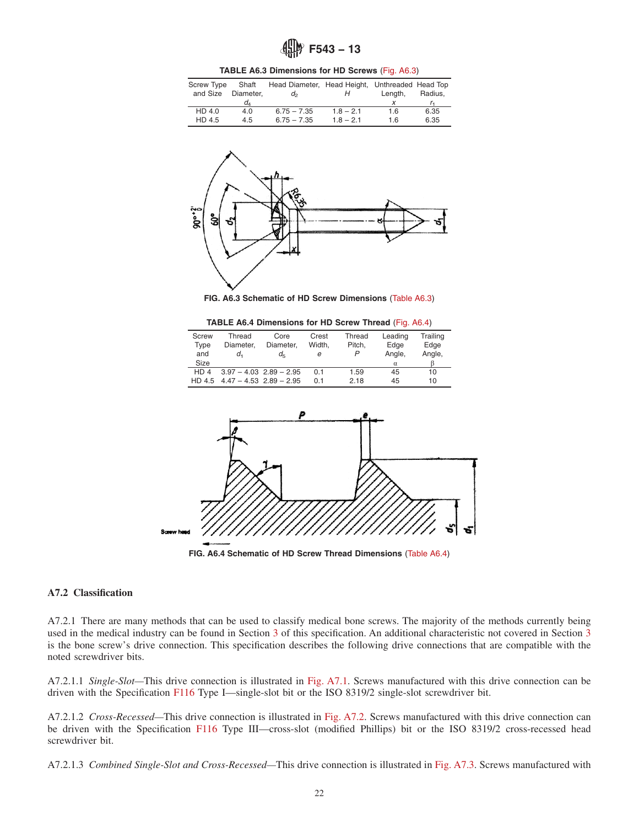**TABLE A6.3 Dimensions for HD Screws** (Fig. A6.3)

| <b>Screw Type</b><br>and Size | Shaft<br>Diameter, | Head Diameter, Head Height, Unthreaded Head Top<br>$d_{2}$ | н           | Lenath. | Radius. |
|-------------------------------|--------------------|------------------------------------------------------------|-------------|---------|---------|
|                               | d.                 |                                                            |             |         |         |
| HD 4.0                        | 4.0                | $6.75 - 7.35$                                              | $1.8 - 2.1$ | 1.6     | 6.35    |
| HD 4.5                        | 4.5                | $6.75 - 7.35$                                              | $1.8 - 2.1$ | 1.6     | 6.35    |



**FIG. A6.3 Schematic of HD Screw Dimensions** (Table A6.3)

**TABLE A6.4 Dimensions for HD Screw Thread** (Fig. A6.4)

| Screw           | Thread    | Core                        | Crest  | Thread | Leading  | Trailing |
|-----------------|-----------|-----------------------------|--------|--------|----------|----------|
| Type            | Diameter. | Diameter.                   | Width. | Pitch. | Edge     | Edge     |
| and             | d.        | $d_{\mathsf{F}}$            | е      | P      | Angle,   | Angle,   |
| Size            |           |                             |        |        | $\alpha$ |          |
| HD <sub>4</sub> |           | $3.97 - 4.03$ $2.89 - 2.95$ | 0.1    | 1.59   | 45       | 10       |
| HD 4.5          |           | $4.47 - 4.53$ $2.89 - 2.95$ | O 1    | 2.18   | 45       | 10       |



**FIG. A6.4 Schematic of HD Screw Thread Dimensions** (Table A6.4)

#### **A7.2 Classification**

A7.2.1 There are many methods that can be used to classify medical bone screws. The majority of the methods currently being used in the medical industry can be found in Section 3 of this specification. An additional characteristic not covered in Section 3 is the bone screw's drive connection. This specification describes the following drive connections that are compatible with the noted screwdriver bits.

A7.2.1.1 *Single-Slot—*This drive connection is illustrated in Fig. A7.1. Screws manufactured with this drive connection can be driven with the Specification F116 Type I—single-slot bit or the ISO 8319/2 single-slot screwdriver bit.

A7.2.1.2 *Cross-Recessed—*This drive connection is illustrated in Fig. A7.2. Screws manufactured with this drive connection can be driven with the Specification F116 Type III—cross-slot (modified Phillips) bit or the ISO 8319/2 cross-recessed head screwdriver bit.

A7.2.1.3 *Combined Single-Slot and Cross-Recessed—*This drive connection is illustrated in Fig. A7.3. Screws manufactured with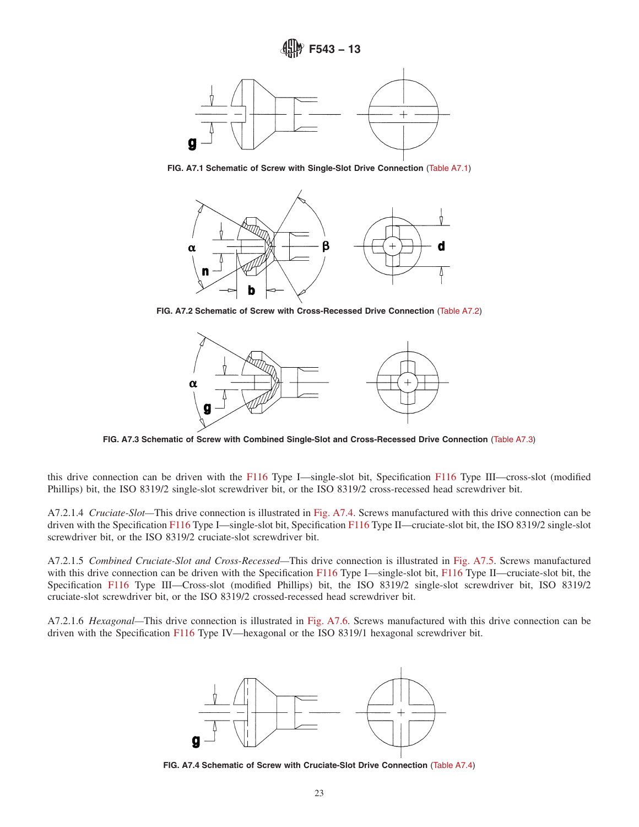

**FIG. A7.1 Schematic of Screw with Single-Slot Drive Connection** (Table A7.1)



**FIG. A7.2 Schematic of Screw with Cross-Recessed Drive Connection** (Table A7.2)



**FIG. A7.3 Schematic of Screw with Combined Single-Slot and Cross-Recessed Drive Connection** (Table A7.3)

this drive connection can be driven with the F116 Type I—single-slot bit, Specification F116 Type III—cross-slot (modified Phillips) bit, the ISO 8319/2 single-slot screwdriver bit, or the ISO 8319/2 cross-recessed head screwdriver bit.

A7.2.1.4 *Cruciate-Slot—*This drive connection is illustrated in Fig. A7.4. Screws manufactured with this drive connection can be driven with the Specification F116 Type I—single-slot bit, Specification F116 Type II—cruciate-slot bit, the ISO 8319/2 single-slot screwdriver bit, or the ISO 8319/2 cruciate-slot screwdriver bit.

A7.2.1.5 *Combined Cruciate-Slot and Cross-Recessed—*This drive connection is illustrated in Fig. A7.5. Screws manufactured with this drive connection can be driven with the Specification F116 Type I—single-slot bit, F116 Type II—cruciate-slot bit, the Specification F116 Type III—Cross-slot (modified Phillips) bit, the ISO 8319/2 single-slot screwdriver bit, ISO 8319/2 cruciate-slot screwdriver bit, or the ISO 8319/2 crossed-recessed head screwdriver bit.

A7.2.1.6 *Hexagonal—*This drive connection is illustrated in Fig. A7.6. Screws manufactured with this drive connection can be driven with the Specification F116 Type IV—hexagonal or the ISO 8319/1 hexagonal screwdriver bit.



**FIG. A7.4 Schematic of Screw with Cruciate-Slot Drive Connection** (Table A7.4)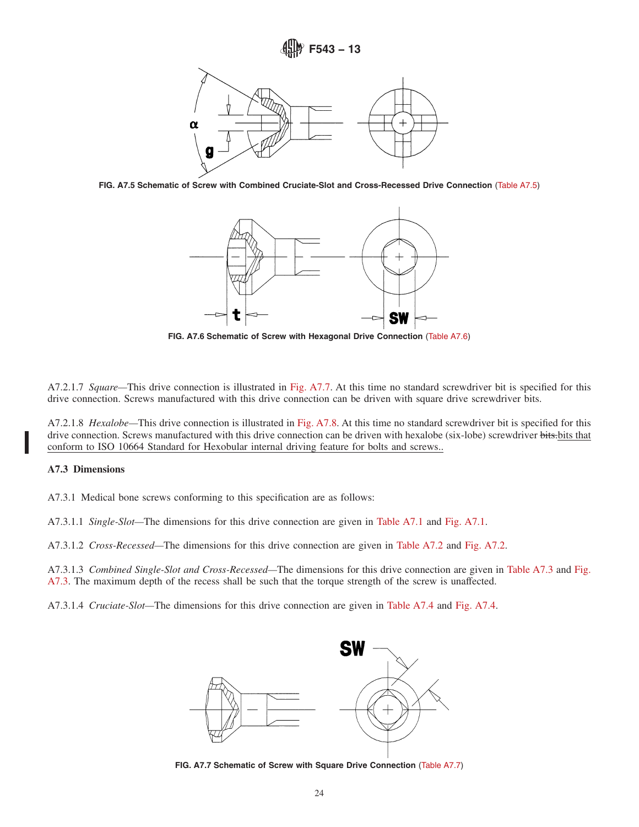

**FIG. A7.5 Schematic of Screw with Combined Cruciate-Slot and Cross-Recessed Drive Connection** (Table A7.5)



**FIG. A7.6 Schematic of Screw with Hexagonal Drive Connection** (Table A7.6)

A7.2.1.7 *Square—*This drive connection is illustrated in Fig. A7.7. At this time no standard screwdriver bit is specified for this drive connection. Screws manufactured with this drive connection can be driven with square drive screwdriver bits.

A7.2.1.8 *Hexalobe—*This drive connection is illustrated in Fig. A7.8. At this time no standard screwdriver bit is specified for this drive connection. Screws manufactured with this drive connection can be driven with hexalobe (six-lobe) screwdriver bits-bits that conform to ISO 10664 Standard for Hexobular internal driving feature for bolts and screws..

## **A7.3 Dimensions**

A7.3.1 Medical bone screws conforming to this specification are as follows:

A7.3.1.1 *Single-Slot—*The dimensions for this drive connection are given in Table A7.1 and Fig. A7.1.

A7.3.1.2 *Cross-Recessed—*The dimensions for this drive connection are given in Table A7.2 and Fig. A7.2.

A7.3.1.3 *Combined Single-Slot and Cross-Recessed—*The dimensions for this drive connection are given in Table A7.3 and Fig. A7.3. The maximum depth of the recess shall be such that the torque strength of the screw is unaffected.

A7.3.1.4 *Cruciate-Slot—*The dimensions for this drive connection are given in Table A7.4 and Fig. A7.4.



**FIG. A7.7 Schematic of Screw with Square Drive Connection** (Table A7.7)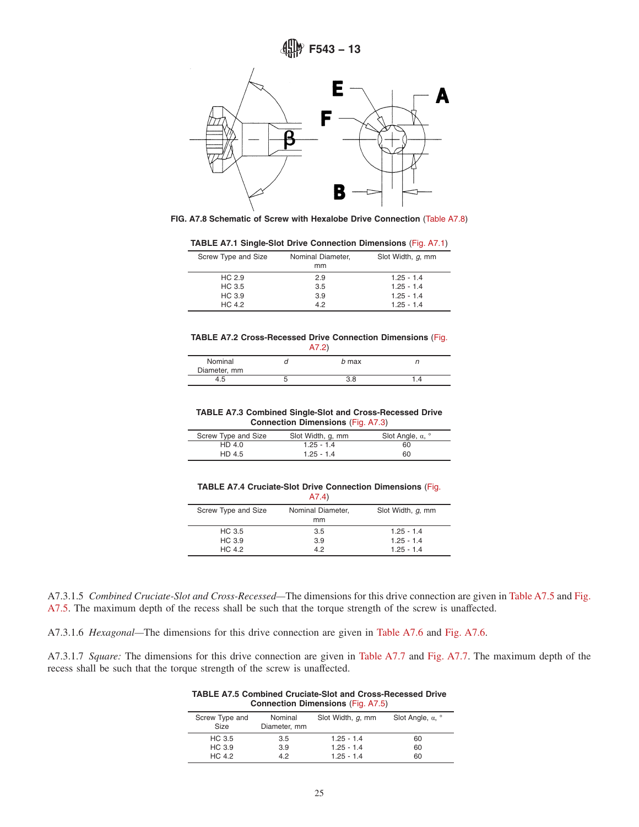



|  |  | TABLE A7.1 Single-Slot Drive Connection Dimensions (Fig. A7.1) |  |  |  |  |
|--|--|----------------------------------------------------------------|--|--|--|--|
|--|--|----------------------------------------------------------------|--|--|--|--|

| Screw Type and Size | Nominal Diameter,<br>mm | Slot Width, q, mm |
|---------------------|-------------------------|-------------------|
| HC 2.9              | 2.9                     | $1.25 - 1.4$      |
| HC 3.5              | 3.5                     | $1.25 - 1.4$      |
| HC 3.9              | 3.9                     | $1.25 - 1.4$      |
| HC 4.2              | 42                      | $1.25 - 1.4$      |

#### **TABLE A7.2 Cross-Recessed Drive Connection Dimensions** (Fig. A7.2)

| Nominal<br>Diameter, mm | b max |  |
|-------------------------|-------|--|
| 4.5                     | 3.8   |  |

#### **TABLE A7.3 Combined Single-Slot and Cross-Recessed Drive Connection Dimensions** (Fig. A7.3)

| Screw Type and Size | Slot Width, q, mm | Slot Angle, $\alpha$ , $\degree$ |
|---------------------|-------------------|----------------------------------|
| HD 4.0              | $1.25 - 1.4$      | 60                               |
| HD 4.5              | $1.25 - 1.4$      | 60                               |

#### **TABLE A7.4 Cruciate-Slot Drive Connection Dimensions** (Fig. A7.4)

|                     | .                       |                   |
|---------------------|-------------------------|-------------------|
| Screw Type and Size | Nominal Diameter,<br>mm | Slot Width, q, mm |
| HC 3.5              | 3.5                     | $1.25 - 1.4$      |
| HC 3.9              | 3.9                     | $1.25 - 1.4$      |
| HC 4.2              | 42                      | $1.25 - 1.4$      |

A7.3.1.5 *Combined Cruciate-Slot and Cross-Recessed—*The dimensions for this drive connection are given in Table A7.5 and Fig. A7.5. The maximum depth of the recess shall be such that the torque strength of the screw is unaffected.

A7.3.1.6 *Hexagonal—*The dimensions for this drive connection are given in Table A7.6 and Fig. A7.6.

A7.3.1.7 *Square:* The dimensions for this drive connection are given in Table A7.7 and Fig. A7.7. The maximum depth of the recess shall be such that the torque strength of the screw is unaffected.

| <b>TABLE A7.5 Combined Cruciate-Slot and Cross-Recessed Drive</b> |  |
|-------------------------------------------------------------------|--|
| <b>Connection Dimensions (Fig. A7.5)</b>                          |  |

| Screw Type and<br><b>Size</b> | Nominal<br>Diameter, mm | Slot Width, q, mm | Slot Angle, $\alpha$ , $\degree$ |
|-------------------------------|-------------------------|-------------------|----------------------------------|
| HC 3.5                        | 3.5                     | $1.25 - 1.4$      | 60                               |
| HC 3.9                        | 3.9                     | $1.25 - 1.4$      | 60                               |
| HC 4.2                        | 42                      | $1.25 - 1.4$      | 60                               |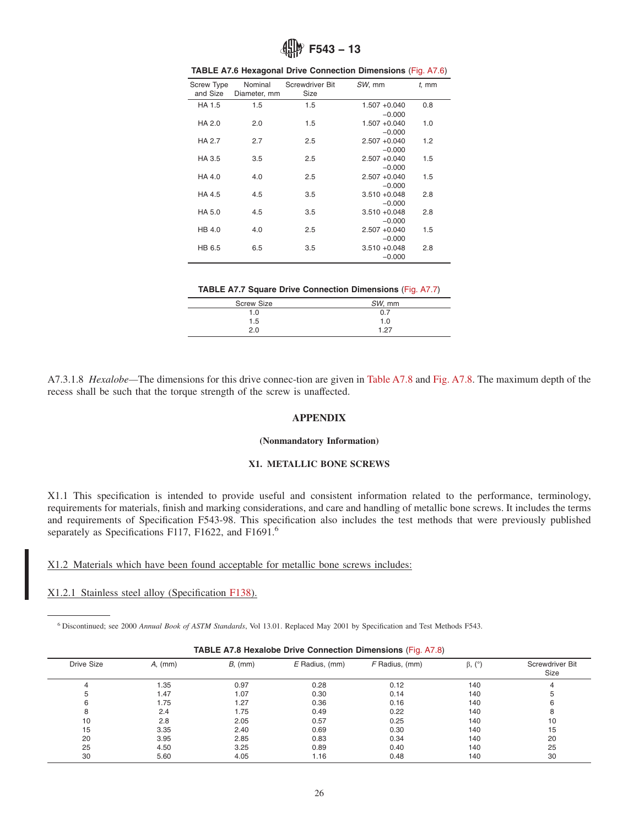

| <b>Screw Type</b><br>and Size | Nominal<br>Diameter, mm | Screwdriver Bit<br>Size | SW, mm                      | $t$ , mm |
|-------------------------------|-------------------------|-------------------------|-----------------------------|----------|
| HA 1.5                        | 1.5                     | 1.5                     | $1.507 + 0.040$<br>$-0.000$ | 0.8      |
| HA 2.0                        | 2.0                     | 1.5                     | $1.507 + 0.040$<br>$-0.000$ | 1.0      |
| HA 2.7                        | 2.7                     | 2.5                     | $2.507 + 0.040$<br>$-0.000$ | 1.2      |
| HA 3.5                        | 3.5                     | 2.5                     | $2.507 + 0.040$<br>$-0.000$ | 1.5      |
| HA 4.0                        | 4.0                     | 2.5                     | $2.507 + 0.040$<br>$-0.000$ | 1.5      |
| HA 4.5                        | 4.5                     | 3.5                     | $3.510 + 0.048$<br>$-0.000$ | 2.8      |
| HA 5.0                        | 4.5                     | 3.5                     | $3.510 + 0.048$<br>$-0.000$ | 2.8      |
| HB 4.0                        | 4.0                     | 2.5                     | $2.507 + 0.040$<br>$-0.000$ | 1.5      |
| HB 6.5                        | 6.5                     | 3.5                     | $3.510 + 0.048$<br>$-0.000$ | 2.8      |
|                               |                         |                         |                             |          |

| TABLE A7.6 Hexagonal Drive Connection Dimensions (Fig. A7.6) |  |  |
|--------------------------------------------------------------|--|--|
|--------------------------------------------------------------|--|--|

**TABLE A7.7 Square Drive Connection Dimensions** (Fig. A7.7)

| <b>Screw Size</b> | SW, mm |
|-------------------|--------|
| 1.0               | 0.7    |
| 1.5               | 1.0    |
| 2.0               | 1.27   |
|                   |        |

A7.3.1.8 *Hexalobe—*The dimensions for this drive connec-tion are given in Table A7.8 and Fig. A7.8. The maximum depth of the recess shall be such that the torque strength of the screw is unaffected.

#### **APPENDIX**

#### **(Nonmandatory Information)**

#### **X1. METALLIC BONE SCREWS**

X1.1 This specification is intended to provide useful and consistent information related to the performance, terminology, requirements for materials, finish and marking considerations, and care and handling of metallic bone screws. It includes the terms and requirements of Specification F543-98. This specification also includes the test methods that were previously published separately as Specifications F117, F1622, and F1691.<sup>6</sup>

X1.2 Materials which have been found acceptable for metallic bone screws includes:

X1.2.1 Stainless steel alloy (Specification F138).

L.

<sup>6</sup> Discontinued; see 2000 *Annual Book of ASTM Standards*, Vol 13.01. Replaced May 2001 by Specification and Test Methods F543.

| <b>Drive Size</b> | A, (mm) | B, (mm) | $E$ Radius, (mm) | F Radius, (mm) | $\beta$ , $(^\circ)$ | Screwdriver Bit<br>Size |
|-------------------|---------|---------|------------------|----------------|----------------------|-------------------------|
| 4                 | 1.35    | 0.97    | 0.28             | 0.12           | 140                  |                         |
|                   | 1.47    | 1.07    | 0.30             | 0.14           | 140                  |                         |
|                   | 1.75    | 1.27    | 0.36             | 0.16           | 140                  | 6                       |
|                   | 2.4     | 1.75    | 0.49             | 0.22           | 140                  | 8                       |
| 10                | 2.8     | 2.05    | 0.57             | 0.25           | 140                  | 10                      |
| 15                | 3.35    | 2.40    | 0.69             | 0.30           | 140                  | 15                      |
| 20                | 3.95    | 2.85    | 0.83             | 0.34           | 140                  | 20                      |
| 25                | 4.50    | 3.25    | 0.89             | 0.40           | 140                  | 25                      |
| 30                | 5.60    | 4.05    | 1.16             | 0.48           | 140                  | 30                      |

## **TABLE A7.8 Hexalobe Drive Connection Dimensions** (Fig. A7.8)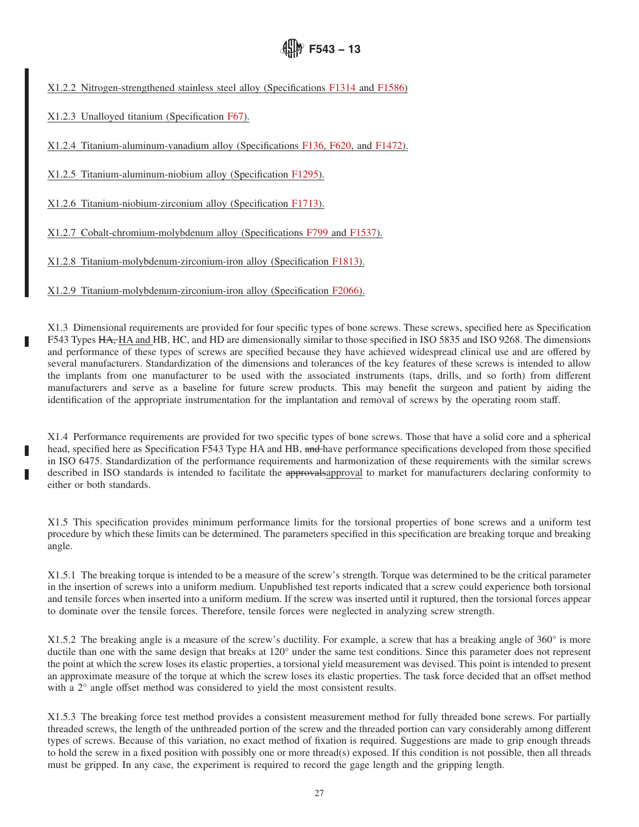X1.2.2 Nitrogen-strengthened stainless steel alloy (Specifications F1314 and F1586)

X1.2.3 Unalloyed titanium (Specification F67).

X1.2.4 Titanium-aluminum-vanadium alloy (Specifications F136, F620, and F1472).

X1.2.5 Titanium-aluminum-niobium alloy (Specification F1295).

X1.2.6 Titanium-niobium-zirconium alloy (Specification F1713).

X1.2.7 Cobalt-chromium-molybdenum alloy (Specifications F799 and F1537).

X1.2.8 Titanium-molybdenum-zirconium-iron alloy (Specification F1813).

X1.2.9 Titanium-molybdenum-zirconium-iron alloy (Specification F2066).

X1.3 Dimensional requirements are provided for four specific types of bone screws. These screws, specified here as Specification F543 Types HA, HA and HB, HC, and HD are dimensionally similar to those specified in ISO 5835 and ISO 9268. The dimensions and performance of these types of screws are specified because they have achieved widespread clinical use and are offered by several manufacturers. Standardization of the dimensions and tolerances of the key features of these screws is intended to allow the implants from one manufacturer to be used with the associated instruments (taps, drills, and so forth) from different manufacturers and serve as a baseline for future screw products. This may benefit the surgeon and patient by aiding the identification of the appropriate instrumentation for the implantation and removal of screws by the operating room staff.

**F543 − 13**

X1.4 Performance requirements are provided for two specific types of bone screws. Those that have a solid core and a spherical head, specified here as Specification F543 Type HA and HB, and have performance specifications developed from those specified in ISO 6475. Standardization of the performance requirements and harmonization of these requirements with the similar screws described in ISO standards is intended to facilitate the approval spapproval to market for manufacturers declaring conformity to either or both standards.

X1.5 This specification provides minimum performance limits for the torsional properties of bone screws and a uniform test procedure by which these limits can be determined. The parameters specified in this specification are breaking torque and breaking angle.

X1.5.1 The breaking torque is intended to be a measure of the screw's strength. Torque was determined to be the critical parameter in the insertion of screws into a uniform medium. Unpublished test reports indicated that a screw could experience both torsional and tensile forces when inserted into a uniform medium. If the screw was inserted until it ruptured, then the torsional forces appear to dominate over the tensile forces. Therefore, tensile forces were neglected in analyzing screw strength.

X1.5.2 The breaking angle is a measure of the screw's ductility. For example, a screw that has a breaking angle of 360° is more ductile than one with the same design that breaks at 120° under the same test conditions. Since this parameter does not represent the point at which the screw loses its elastic properties, a torsional yield measurement was devised. This point is intended to present an approximate measure of the torque at which the screw loses its elastic properties. The task force decided that an offset method with a 2° angle offset method was considered to yield the most consistent results.

X1.5.3 The breaking force test method provides a consistent measurement method for fully threaded bone screws. For partially threaded screws, the length of the unthreaded portion of the screw and the threaded portion can vary considerably among different types of screws. Because of this variation, no exact method of fixation is required. Suggestions are made to grip enough threads to hold the screw in a fixed position with possibly one or more thread(s) exposed. If this condition is not possible, then all threads must be gripped. In any case, the experiment is required to record the gage length and the gripping length.